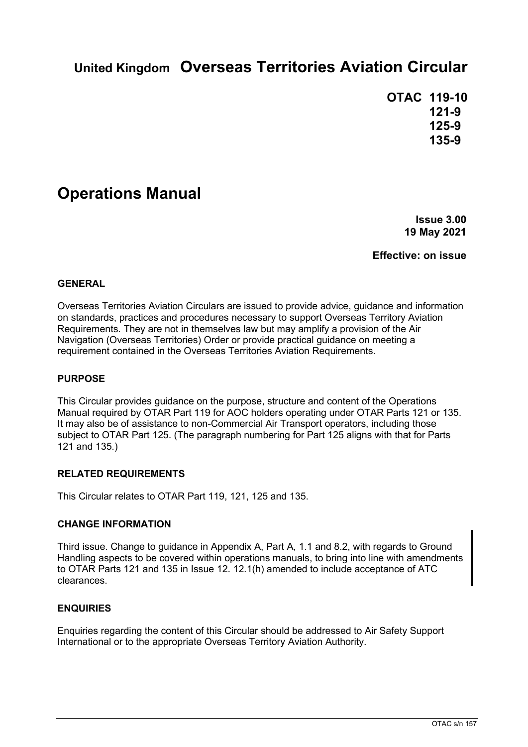# **United Kingdom Overseas Territories Aviation Circular**

**OTAC 119-10 121-9 125-9 135-9**

## **Operations Manual**

**Issue 3.00 19 May 2021**

**Effective: on issue**

### **GENERAL**

Overseas Territories Aviation Circulars are issued to provide advice, guidance and information on standards, practices and procedures necessary to support Overseas Territory Aviation Requirements. They are not in themselves law but may amplify a provision of the Air Navigation (Overseas Territories) Order or provide practical guidance on meeting a requirement contained in the Overseas Territories Aviation Requirements.

#### **PURPOSE**

This Circular provides guidance on the purpose, structure and content of the Operations Manual required by OTAR Part 119 for AOC holders operating under OTAR Parts 121 or 135. It may also be of assistance to non-Commercial Air Transport operators, including those subject to OTAR Part 125. (The paragraph numbering for Part 125 aligns with that for Parts 121 and 135.)

#### **RELATED REQUIREMENTS**

This Circular relates to OTAR Part 119, 121, 125 and 135.

#### **CHANGE INFORMATION**

Third issue. Change to guidance in Appendix A, Part A, 1.1 and 8.2, with regards to Ground Handling aspects to be covered within operations manuals, to bring into line with amendments to OTAR Parts 121 and 135 in Issue 12. 12.1(h) amended to include acceptance of ATC clearances.

#### **ENQUIRIES**

Enquiries regarding the content of this Circular should be addressed to Air Safety Support International or to the appropriate Overseas Territory Aviation Authority.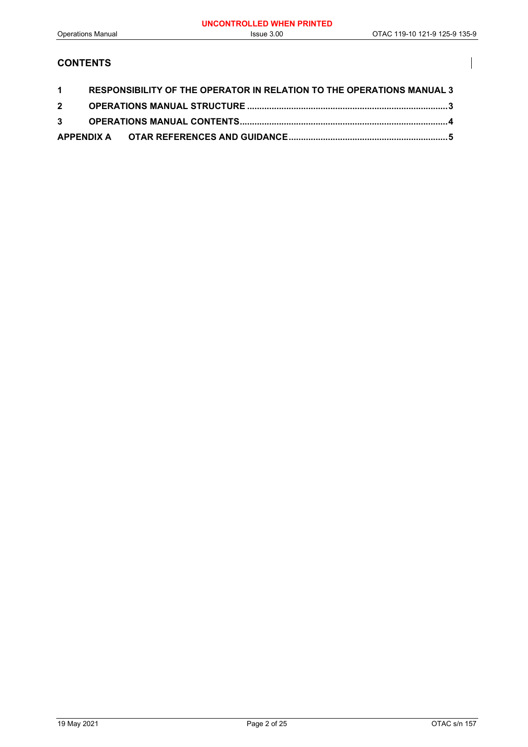$\overline{\phantom{a}}$ 

### **CONTENTS**

|  | 1 RESPONSIBILITY OF THE OPERATOR IN RELATION TO THE OPERATIONS MANUAL 3 |  |
|--|-------------------------------------------------------------------------|--|
|  |                                                                         |  |
|  |                                                                         |  |
|  |                                                                         |  |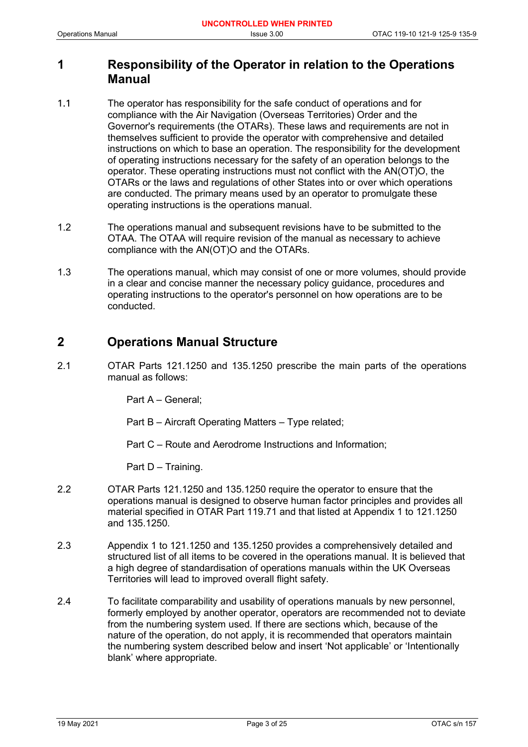## <span id="page-2-0"></span>**1 Responsibility of the Operator in relation to the Operations Manual**

- 1.1 The operator has responsibility for the safe conduct of operations and for compliance with the Air Navigation (Overseas Territories) Order and the Governor's requirements (the OTARs). These laws and requirements are not in themselves sufficient to provide the operator with comprehensive and detailed instructions on which to base an operation. The responsibility for the development of operating instructions necessary for the safety of an operation belongs to the operator. These operating instructions must not conflict with the AN(OT)O, the OTARs or the laws and regulations of other States into or over which operations are conducted. The primary means used by an operator to promulgate these operating instructions is the operations manual.
- 1.2 The operations manual and subsequent revisions have to be submitted to the OTAA. The OTAA will require revision of the manual as necessary to achieve compliance with the AN(OT)O and the OTARs.
- 1.3 The operations manual, which may consist of one or more volumes, should provide in a clear and concise manner the necessary policy guidance, procedures and operating instructions to the operator's personnel on how operations are to be conducted.

## <span id="page-2-1"></span>**2 Operations Manual Structure**

2.1 OTAR Parts 121.1250 and 135.1250 prescribe the main parts of the operations manual as follows:

Part A – General;

Part B – Aircraft Operating Matters – Type related;

Part C – Route and Aerodrome Instructions and Information;

Part D – Training.

- 2.2 OTAR Parts 121.1250 and 135.1250 require the operator to ensure that the operations manual is designed to observe human factor principles and provides all material specified in OTAR Part 119.71 and that listed at Appendix 1 to 121.1250 and 135.1250.
- 2.3 Appendix 1 to 121.1250 and 135.1250 provides a comprehensively detailed and structured list of all items to be covered in the operations manual. It is believed that a high degree of standardisation of operations manuals within the UK Overseas Territories will lead to improved overall flight safety.
- 2.4 To facilitate comparability and usability of operations manuals by new personnel, formerly employed by another operator, operators are recommended not to deviate from the numbering system used. If there are sections which, because of the nature of the operation, do not apply, it is recommended that operators maintain the numbering system described below and insert 'Not applicable' or 'Intentionally blank' where appropriate.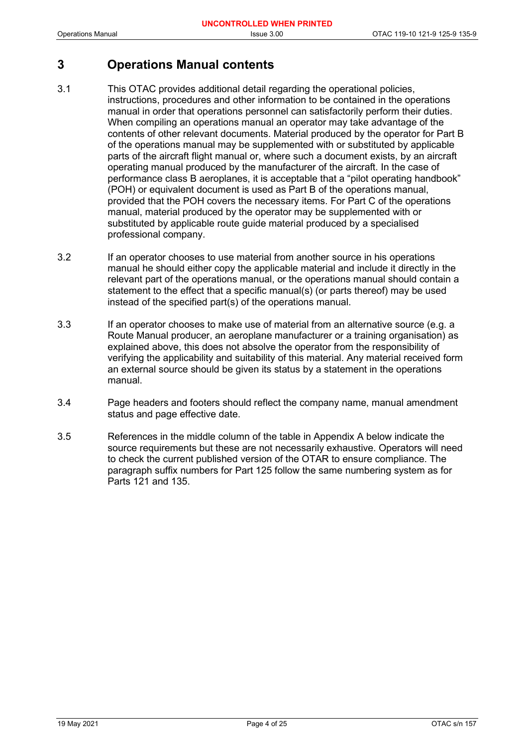## <span id="page-3-0"></span>**3 Operations Manual contents**

- 3.1 This OTAC provides additional detail regarding the operational policies, instructions, procedures and other information to be contained in the operations manual in order that operations personnel can satisfactorily perform their duties. When compiling an operations manual an operator may take advantage of the contents of other relevant documents. Material produced by the operator for Part B of the operations manual may be supplemented with or substituted by applicable parts of the aircraft flight manual or, where such a document exists, by an aircraft operating manual produced by the manufacturer of the aircraft. In the case of performance class B aeroplanes, it is acceptable that a "pilot operating handbook" (POH) or equivalent document is used as Part B of the operations manual, provided that the POH covers the necessary items. For Part C of the operations manual, material produced by the operator may be supplemented with or substituted by applicable route guide material produced by a specialised professional company.
- 3.2 If an operator chooses to use material from another source in his operations manual he should either copy the applicable material and include it directly in the relevant part of the operations manual, or the operations manual should contain a statement to the effect that a specific manual(s) (or parts thereof) may be used instead of the specified part(s) of the operations manual.
- 3.3 If an operator chooses to make use of material from an alternative source (e.g. a Route Manual producer, an aeroplane manufacturer or a training organisation) as explained above, this does not absolve the operator from the responsibility of verifying the applicability and suitability of this material. Any material received form an external source should be given its status by a statement in the operations manual.
- 3.4 Page headers and footers should reflect the company name, manual amendment status and page effective date.
- 3.5 References in the middle column of the table in Appendix A below indicate the source requirements but these are not necessarily exhaustive. Operators will need to check the current published version of the OTAR to ensure compliance. The paragraph suffix numbers for Part 125 follow the same numbering system as for Parts 121 and 135.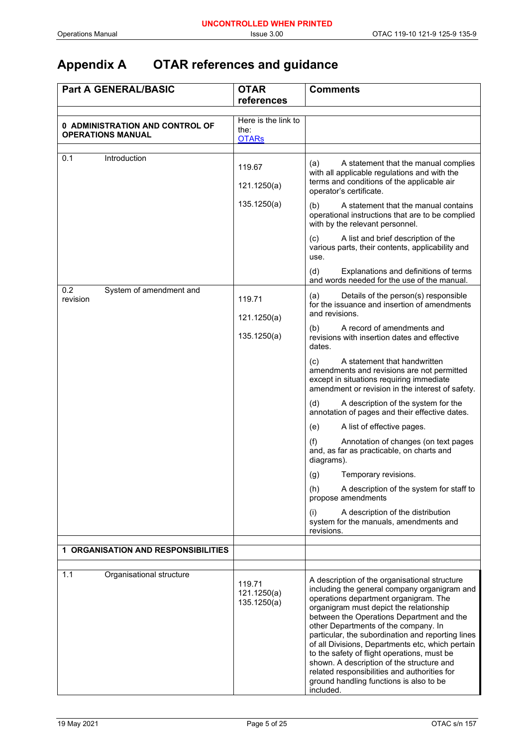# <span id="page-4-0"></span>**Appendix A OTAR references and guidance**

| <b>Part A GENERAL/BASIC</b>                | <b>OTAR</b>                          | <b>Comments</b>                                                                                                                                                                                                                                                                                                                                                                                                                                                                                                                                                                     |
|--------------------------------------------|--------------------------------------|-------------------------------------------------------------------------------------------------------------------------------------------------------------------------------------------------------------------------------------------------------------------------------------------------------------------------------------------------------------------------------------------------------------------------------------------------------------------------------------------------------------------------------------------------------------------------------------|
|                                            | references                           |                                                                                                                                                                                                                                                                                                                                                                                                                                                                                                                                                                                     |
|                                            | Here is the link to                  |                                                                                                                                                                                                                                                                                                                                                                                                                                                                                                                                                                                     |
| 0 ADMINISTRATION AND CONTROL OF            | the:                                 |                                                                                                                                                                                                                                                                                                                                                                                                                                                                                                                                                                                     |
| <b>OPERATIONS MANUAL</b>                   | <b>OTARs</b>                         |                                                                                                                                                                                                                                                                                                                                                                                                                                                                                                                                                                                     |
|                                            |                                      |                                                                                                                                                                                                                                                                                                                                                                                                                                                                                                                                                                                     |
| 0.1<br>Introduction                        | 119.67                               | (a)<br>A statement that the manual complies<br>with all applicable regulations and with the<br>terms and conditions of the applicable air                                                                                                                                                                                                                                                                                                                                                                                                                                           |
|                                            | 121.1250(a)                          | operator's certificate.                                                                                                                                                                                                                                                                                                                                                                                                                                                                                                                                                             |
|                                            | 135.1250(a)                          | A statement that the manual contains<br>(b)<br>operational instructions that are to be complied<br>with by the relevant personnel.                                                                                                                                                                                                                                                                                                                                                                                                                                                  |
|                                            |                                      | A list and brief description of the<br>(C)<br>various parts, their contents, applicability and<br>use.                                                                                                                                                                                                                                                                                                                                                                                                                                                                              |
|                                            |                                      | Explanations and definitions of terms<br>(d)<br>and words needed for the use of the manual.                                                                                                                                                                                                                                                                                                                                                                                                                                                                                         |
| 0.2<br>System of amendment and<br>revision | 119.71<br>121.1250(a)                | Details of the person(s) responsible<br>(a)<br>for the issuance and insertion of amendments<br>and revisions.                                                                                                                                                                                                                                                                                                                                                                                                                                                                       |
|                                            | 135.1250(a)                          | A record of amendments and<br>(b)<br>revisions with insertion dates and effective<br>dates.                                                                                                                                                                                                                                                                                                                                                                                                                                                                                         |
|                                            |                                      | A statement that handwritten<br>(C)<br>amendments and revisions are not permitted<br>except in situations requiring immediate<br>amendment or revision in the interest of safety.                                                                                                                                                                                                                                                                                                                                                                                                   |
|                                            |                                      | A description of the system for the<br>(d)<br>annotation of pages and their effective dates.                                                                                                                                                                                                                                                                                                                                                                                                                                                                                        |
|                                            |                                      | (e)<br>A list of effective pages.                                                                                                                                                                                                                                                                                                                                                                                                                                                                                                                                                   |
|                                            |                                      | Annotation of changes (on text pages<br>(f)<br>and, as far as practicable, on charts and<br>diagrams).                                                                                                                                                                                                                                                                                                                                                                                                                                                                              |
|                                            |                                      | Temporary revisions.<br>(g)                                                                                                                                                                                                                                                                                                                                                                                                                                                                                                                                                         |
|                                            |                                      | A description of the system for staff to<br>(h)<br>propose amendments                                                                                                                                                                                                                                                                                                                                                                                                                                                                                                               |
|                                            |                                      | A description of the distribution<br>(i)<br>system for the manuals, amendments and<br>revisions.                                                                                                                                                                                                                                                                                                                                                                                                                                                                                    |
| <b>1 ORGANISATION AND RESPONSIBILITIES</b> |                                      |                                                                                                                                                                                                                                                                                                                                                                                                                                                                                                                                                                                     |
|                                            |                                      |                                                                                                                                                                                                                                                                                                                                                                                                                                                                                                                                                                                     |
| 1.1<br>Organisational structure            |                                      |                                                                                                                                                                                                                                                                                                                                                                                                                                                                                                                                                                                     |
|                                            | 119.71<br>121.1250(a)<br>135.1250(a) | A description of the organisational structure<br>including the general company organigram and<br>operations department organigram. The<br>organigram must depict the relationship<br>between the Operations Department and the<br>other Departments of the company. In<br>particular, the subordination and reporting lines<br>of all Divisions, Departments etc, which pertain<br>to the safety of flight operations, must be<br>shown. A description of the structure and<br>related responsibilities and authorities for<br>ground handling functions is also to be<br>included. |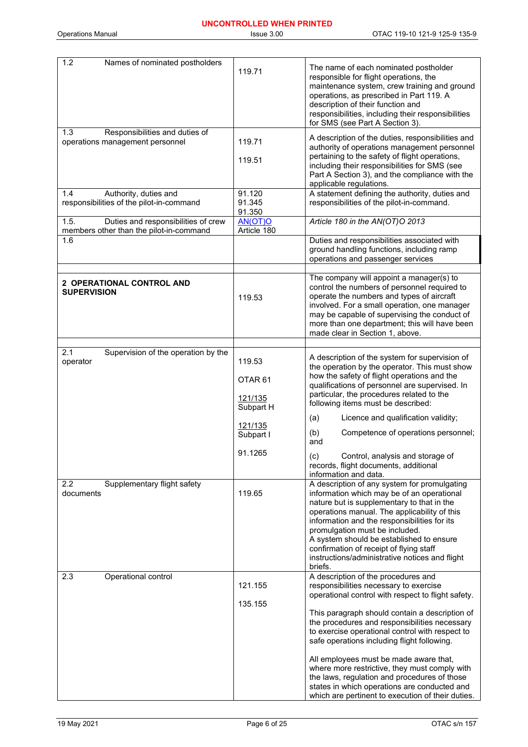| 1.2<br>Names of nominated postholders                                                  | 119.71                                               | The name of each nominated postholder<br>responsible for flight operations, the<br>maintenance system, crew training and ground<br>operations, as prescribed in Part 119. A<br>description of their function and<br>responsibilities, including their responsibilities<br>for SMS (see Part A Section 3).                                                                                                                      |
|----------------------------------------------------------------------------------------|------------------------------------------------------|--------------------------------------------------------------------------------------------------------------------------------------------------------------------------------------------------------------------------------------------------------------------------------------------------------------------------------------------------------------------------------------------------------------------------------|
| Responsibilities and duties of<br>1.3<br>operations management personnel               | 119.71<br>119.51                                     | A description of the duties, responsibilities and<br>authority of operations management personnel<br>pertaining to the safety of flight operations,<br>including their responsibilities for SMS (see<br>Part A Section 3), and the compliance with the<br>applicable regulations.                                                                                                                                              |
| Authority, duties and<br>1.4<br>responsibilities of the pilot-in-command               | 91.120<br>91.345<br>91.350                           | A statement defining the authority, duties and<br>responsibilities of the pilot-in-command.                                                                                                                                                                                                                                                                                                                                    |
| 1.5.<br>Duties and responsibilities of crew<br>members other than the pilot-in-command | AN(OT)O<br>Article 180                               | Article 180 in the AN(OT)O 2013                                                                                                                                                                                                                                                                                                                                                                                                |
| 1.6                                                                                    |                                                      | Duties and responsibilities associated with<br>ground handling functions, including ramp<br>operations and passenger services                                                                                                                                                                                                                                                                                                  |
| 2 OPERATIONAL CONTROL AND<br><b>SUPERVISION</b>                                        | 119.53                                               | The company will appoint a manager(s) to<br>control the numbers of personnel required to<br>operate the numbers and types of aircraft<br>involved. For a small operation, one manager<br>may be capable of supervising the conduct of<br>more than one department; this will have been<br>made clear in Section 1, above.                                                                                                      |
| Supervision of the operation by the<br>2.1                                             |                                                      | A description of the system for supervision of                                                                                                                                                                                                                                                                                                                                                                                 |
| operator                                                                               | 119.53<br>OTAR <sub>61</sub><br>121/135<br>Subpart H | the operation by the operator. This must show<br>how the safety of flight operations and the<br>qualifications of personnel are supervised. In<br>particular, the procedures related to the<br>following items must be described:                                                                                                                                                                                              |
|                                                                                        | 121/135<br>Subpart I                                 | Licence and qualification validity;<br>(a)<br>(b)<br>Competence of operations personnel;<br>and                                                                                                                                                                                                                                                                                                                                |
|                                                                                        | 91.1265                                              | (c)<br>Control, analysis and storage of<br>records, flight documents, additional<br>information and data.                                                                                                                                                                                                                                                                                                                      |
| 2.2<br>Supplementary flight safety<br>documents                                        | 119.65                                               | A description of any system for promulgating<br>information which may be of an operational<br>nature but is supplementary to that in the<br>operations manual. The applicability of this<br>information and the responsibilities for its<br>promulgation must be included.<br>A system should be established to ensure<br>confirmation of receipt of flying staff<br>instructions/administrative notices and flight<br>briefs. |
| Operational control<br>2.3                                                             | 121.155<br>135.155                                   | A description of the procedures and<br>responsibilities necessary to exercise<br>operational control with respect to flight safety.                                                                                                                                                                                                                                                                                            |
|                                                                                        |                                                      | This paragraph should contain a description of<br>the procedures and responsibilities necessary<br>to exercise operational control with respect to<br>safe operations including flight following.                                                                                                                                                                                                                              |
|                                                                                        |                                                      | All employees must be made aware that,<br>where more restrictive, they must comply with<br>the laws, regulation and procedures of those<br>states in which operations are conducted and<br>which are pertinent to execution of their duties.                                                                                                                                                                                   |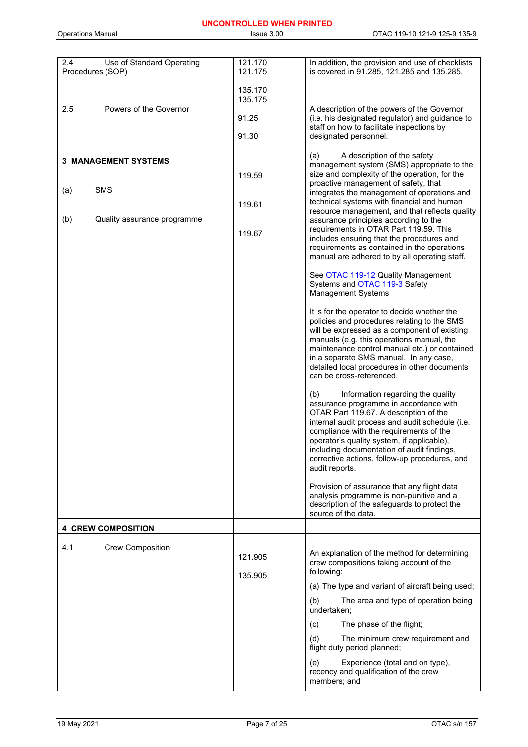# **UNCONTROLLED WHEN PRINTED**

| 2.4<br>Use of Standard Operating<br>Procedures (SOP) | 121.170<br>121.175 | In addition, the provision and use of checklists<br>is covered in 91.285, 121.285 and 135.285.                                                                                                                                                                                                                                                                                            |
|------------------------------------------------------|--------------------|-------------------------------------------------------------------------------------------------------------------------------------------------------------------------------------------------------------------------------------------------------------------------------------------------------------------------------------------------------------------------------------------|
|                                                      | 135.170<br>135.175 |                                                                                                                                                                                                                                                                                                                                                                                           |
| Powers of the Governor<br>2.5                        | 91.25<br>91.30     | A description of the powers of the Governor<br>(i.e. his designated regulator) and guidance to<br>staff on how to facilitate inspections by<br>designated personnel.                                                                                                                                                                                                                      |
|                                                      |                    |                                                                                                                                                                                                                                                                                                                                                                                           |
| <b>3 MANAGEMENT SYSTEMS</b><br><b>SMS</b><br>(a)     | 119.59<br>119.61   | A description of the safety<br>(a)<br>management system (SMS) appropriate to the<br>size and complexity of the operation, for the<br>proactive management of safety, that<br>integrates the management of operations and<br>technical systems with financial and human<br>resource management, and that reflects quality                                                                  |
| (b)<br>Quality assurance programme                   | 119.67             | assurance principles according to the<br>requirements in OTAR Part 119.59. This<br>includes ensuring that the procedures and<br>requirements as contained in the operations<br>manual are adhered to by all operating staff.                                                                                                                                                              |
|                                                      |                    | See OTAC 119-12 Quality Management<br>Systems and OTAC 119-3 Safety<br><b>Management Systems</b>                                                                                                                                                                                                                                                                                          |
|                                                      |                    | It is for the operator to decide whether the<br>policies and procedures relating to the SMS<br>will be expressed as a component of existing<br>manuals (e.g. this operations manual, the<br>maintenance control manual etc.) or contained<br>in a separate SMS manual. In any case,<br>detailed local procedures in other documents<br>can be cross-referenced.                           |
|                                                      |                    | Information regarding the quality<br>(b)<br>assurance programme in accordance with<br>OTAR Part 119.67. A description of the<br>internal audit process and audit schedule (i.e.<br>compliance with the requirements of the<br>operator's quality system, if applicable),<br>including documentation of audit findings.<br>corrective actions, follow-up procedures, and<br>audit reports. |
|                                                      |                    | Provision of assurance that any flight data<br>analysis programme is non-punitive and a<br>description of the safeguards to protect the<br>source of the data.                                                                                                                                                                                                                            |
| <b>4 CREW COMPOSITION</b>                            |                    |                                                                                                                                                                                                                                                                                                                                                                                           |
| <b>Crew Composition</b><br>4.1                       | 121.905            | An explanation of the method for determining<br>crew compositions taking account of the<br>following:                                                                                                                                                                                                                                                                                     |
|                                                      | 135.905            | (a) The type and variant of aircraft being used;                                                                                                                                                                                                                                                                                                                                          |
|                                                      |                    | The area and type of operation being<br>(b)<br>undertaken;                                                                                                                                                                                                                                                                                                                                |
|                                                      |                    | The phase of the flight;<br>(c)                                                                                                                                                                                                                                                                                                                                                           |
|                                                      |                    | (d)<br>The minimum crew requirement and<br>flight duty period planned;                                                                                                                                                                                                                                                                                                                    |
|                                                      |                    | Experience (total and on type),<br>(e)<br>recency and qualification of the crew<br>members; and                                                                                                                                                                                                                                                                                           |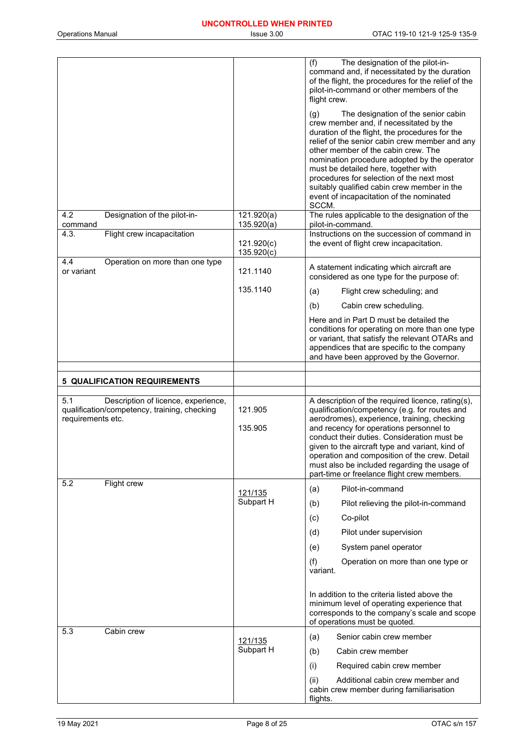|                                                                                                                 |                          | (f)<br>The designation of the pilot-in-<br>command and, if necessitated by the duration<br>of the flight, the procedures for the relief of the<br>pilot-in-command or other members of the<br>flight crew.<br>The designation of the senior cabin<br>(g)<br>crew member and, if necessitated by the<br>duration of the flight, the procedures for the<br>relief of the senior cabin crew member and any<br>other member of the cabin crew. The<br>nomination procedure adopted by the operator<br>must be detailed here, together with<br>procedures for selection of the next most<br>suitably qualified cabin crew member in the<br>event of incapacitation of the nominated |
|-----------------------------------------------------------------------------------------------------------------|--------------------------|--------------------------------------------------------------------------------------------------------------------------------------------------------------------------------------------------------------------------------------------------------------------------------------------------------------------------------------------------------------------------------------------------------------------------------------------------------------------------------------------------------------------------------------------------------------------------------------------------------------------------------------------------------------------------------|
| 4.2<br>Designation of the pilot-in-<br>command                                                                  | 121.920(a)<br>135.920(a) | SCCM.<br>The rules applicable to the designation of the<br>pilot-in-command.                                                                                                                                                                                                                                                                                                                                                                                                                                                                                                                                                                                                   |
| Flight crew incapacitation<br>4.3.                                                                              | 121.920(c)<br>135.920(c) | Instructions on the succession of command in<br>the event of flight crew incapacitation.                                                                                                                                                                                                                                                                                                                                                                                                                                                                                                                                                                                       |
| 4.4<br>Operation on more than one type<br>or variant                                                            | 121.1140                 | A statement indicating which aircraft are<br>considered as one type for the purpose of:                                                                                                                                                                                                                                                                                                                                                                                                                                                                                                                                                                                        |
|                                                                                                                 | 135.1140                 | Flight crew scheduling; and<br>(a)                                                                                                                                                                                                                                                                                                                                                                                                                                                                                                                                                                                                                                             |
|                                                                                                                 |                          | (b)<br>Cabin crew scheduling.                                                                                                                                                                                                                                                                                                                                                                                                                                                                                                                                                                                                                                                  |
|                                                                                                                 |                          | Here and in Part D must be detailed the<br>conditions for operating on more than one type<br>or variant, that satisfy the relevant OTARs and<br>appendices that are specific to the company<br>and have been approved by the Governor.                                                                                                                                                                                                                                                                                                                                                                                                                                         |
| <b>5 QUALIFICATION REQUIREMENTS</b>                                                                             |                          |                                                                                                                                                                                                                                                                                                                                                                                                                                                                                                                                                                                                                                                                                |
|                                                                                                                 |                          |                                                                                                                                                                                                                                                                                                                                                                                                                                                                                                                                                                                                                                                                                |
| Description of licence, experience,<br>5.1<br>qualification/competency, training, checking<br>requirements etc. | 121.905<br>135.905       | A description of the required licence, rating(s),<br>qualification/competency (e.g. for routes and<br>aerodromes), experience, training, checking<br>and recency for operations personnel to<br>conduct their duties. Consideration must be<br>given to the aircraft type and variant, kind of<br>operation and composition of the crew. Detail<br>must also be included regarding the usage of<br>part-time or freelance flight crew members.                                                                                                                                                                                                                                 |
| 5.2<br>Flight crew                                                                                              | 121/135                  | Pilot-in-command<br>(a)                                                                                                                                                                                                                                                                                                                                                                                                                                                                                                                                                                                                                                                        |
|                                                                                                                 | Subpart H                | Pilot relieving the pilot-in-command<br>(b)                                                                                                                                                                                                                                                                                                                                                                                                                                                                                                                                                                                                                                    |
|                                                                                                                 |                          | Co-pilot<br>(c)                                                                                                                                                                                                                                                                                                                                                                                                                                                                                                                                                                                                                                                                |
|                                                                                                                 |                          | Pilot under supervision<br>(d)                                                                                                                                                                                                                                                                                                                                                                                                                                                                                                                                                                                                                                                 |
|                                                                                                                 |                          | System panel operator<br>(e)                                                                                                                                                                                                                                                                                                                                                                                                                                                                                                                                                                                                                                                   |
|                                                                                                                 |                          | (f)<br>Operation on more than one type or<br>variant.                                                                                                                                                                                                                                                                                                                                                                                                                                                                                                                                                                                                                          |
|                                                                                                                 |                          | In addition to the criteria listed above the<br>minimum level of operating experience that<br>corresponds to the company's scale and scope<br>of operations must be quoted.                                                                                                                                                                                                                                                                                                                                                                                                                                                                                                    |
| 5.3<br>Cabin crew                                                                                               | 121/135                  | Senior cabin crew member<br>(a)                                                                                                                                                                                                                                                                                                                                                                                                                                                                                                                                                                                                                                                |
|                                                                                                                 | Subpart H                | Cabin crew member<br>(b)                                                                                                                                                                                                                                                                                                                                                                                                                                                                                                                                                                                                                                                       |
|                                                                                                                 |                          | Required cabin crew member<br>(i)                                                                                                                                                                                                                                                                                                                                                                                                                                                                                                                                                                                                                                              |
|                                                                                                                 |                          | (ii)<br>Additional cabin crew member and<br>cabin crew member during familiarisation<br>flights.                                                                                                                                                                                                                                                                                                                                                                                                                                                                                                                                                                               |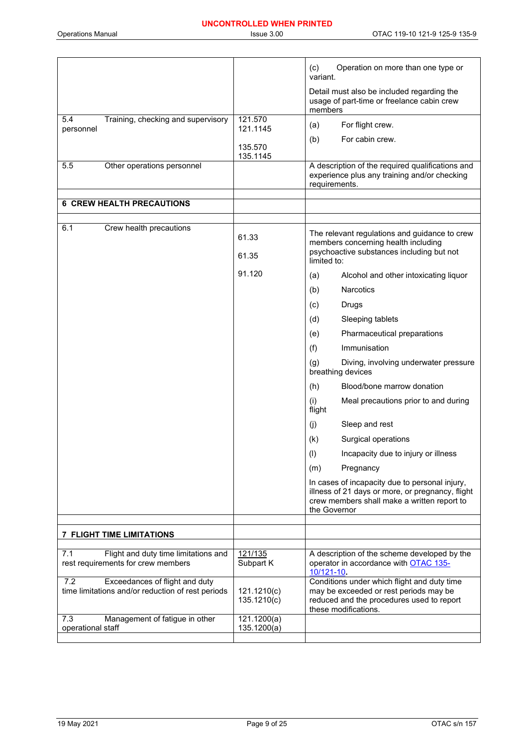|                                                                                            |                            | (c)<br>Operation on more than one type or<br>variant.                                                                                                             |
|--------------------------------------------------------------------------------------------|----------------------------|-------------------------------------------------------------------------------------------------------------------------------------------------------------------|
|                                                                                            |                            | Detail must also be included regarding the<br>usage of part-time or freelance cabin crew<br>members                                                               |
| 5.4<br>Training, checking and supervisory<br>personnel                                     | 121.570<br>121.1145        | For flight crew.<br>(a)                                                                                                                                           |
|                                                                                            | 135.570                    | For cabin crew.<br>(b)                                                                                                                                            |
|                                                                                            | 135.1145                   |                                                                                                                                                                   |
| 5.5<br>Other operations personnel                                                          |                            | A description of the required qualifications and<br>experience plus any training and/or checking<br>requirements.                                                 |
| <b>6 CREW HEALTH PRECAUTIONS</b>                                                           |                            |                                                                                                                                                                   |
|                                                                                            |                            |                                                                                                                                                                   |
| 6.1<br>Crew health precautions                                                             | 61.33                      | The relevant regulations and guidance to crew<br>members concerning health including                                                                              |
|                                                                                            | 61.35                      | psychoactive substances including but not<br>limited to:                                                                                                          |
|                                                                                            | 91.120                     | (a)<br>Alcohol and other intoxicating liquor                                                                                                                      |
|                                                                                            |                            | <b>Narcotics</b><br>(b)                                                                                                                                           |
|                                                                                            |                            | Drugs<br>(c)                                                                                                                                                      |
|                                                                                            |                            | Sleeping tablets<br>(d)                                                                                                                                           |
|                                                                                            |                            | Pharmaceutical preparations<br>(e)                                                                                                                                |
|                                                                                            |                            | Immunisation<br>(f)                                                                                                                                               |
|                                                                                            |                            | Diving, involving underwater pressure<br>(g)<br>breathing devices                                                                                                 |
|                                                                                            |                            | (h)<br>Blood/bone marrow donation                                                                                                                                 |
|                                                                                            |                            | (i)<br>Meal precautions prior to and during<br>flight                                                                                                             |
|                                                                                            |                            | Sleep and rest<br>(i)                                                                                                                                             |
|                                                                                            |                            | (k)<br>Surgical operations                                                                                                                                        |
|                                                                                            |                            | $($ l $)$<br>Incapacity due to injury or illness                                                                                                                  |
|                                                                                            |                            | Pregnancy<br>(m)                                                                                                                                                  |
|                                                                                            |                            | In cases of incapacity due to personal injury,<br>illness of 21 days or more, or pregnancy, flight<br>crew members shall make a written report to<br>the Governor |
|                                                                                            |                            |                                                                                                                                                                   |
| <b>7 FLIGHT TIME LIMITATIONS</b>                                                           |                            |                                                                                                                                                                   |
| Flight and duty time limitations and<br>7.1<br>rest requirements for crew members          | 121/135<br>Subpart K       | A description of the scheme developed by the<br>operator in accordance with OTAC 135-<br>$10/121 - 10$ .                                                          |
| Exceedances of flight and duty<br>7.2<br>time limitations and/or reduction of rest periods | 121.1210(c)<br>135.1210(c) | Conditions under which flight and duty time<br>may be exceeded or rest periods may be<br>reduced and the procedures used to report<br>these modifications.        |
| 7.3<br>Management of fatigue in other<br>operational staff                                 | 121.1200(a)<br>135.1200(a) |                                                                                                                                                                   |
|                                                                                            |                            |                                                                                                                                                                   |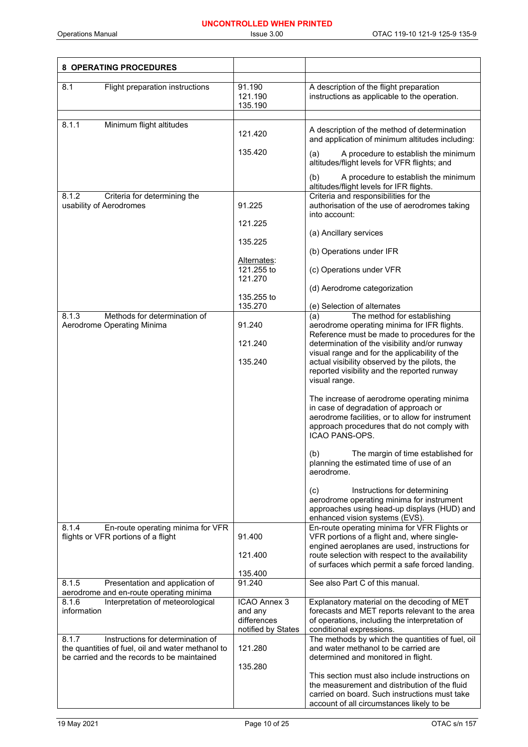| 8 OPERATING PROCEDURES                                                                                                                         |                                                              |                                                                                                                                                                                                          |
|------------------------------------------------------------------------------------------------------------------------------------------------|--------------------------------------------------------------|----------------------------------------------------------------------------------------------------------------------------------------------------------------------------------------------------------|
| Flight preparation instructions<br>8.1                                                                                                         | 91.190<br>121.190<br>135.190                                 | A description of the flight preparation<br>instructions as applicable to the operation.                                                                                                                  |
| Minimum flight altitudes<br>8.1.1                                                                                                              | 121.420                                                      | A description of the method of determination<br>and application of minimum altitudes including:                                                                                                          |
|                                                                                                                                                | 135.420                                                      | A procedure to establish the minimum<br>(a)<br>altitudes/flight levels for VFR flights; and                                                                                                              |
|                                                                                                                                                |                                                              | (b)<br>A procedure to establish the minimum<br>altitudes/flight levels for IFR flights.                                                                                                                  |
| Criteria for determining the<br>8.1.2<br>usability of Aerodromes                                                                               | 91.225                                                       | Criteria and responsibilities for the<br>authorisation of the use of aerodromes taking<br>into account:                                                                                                  |
|                                                                                                                                                | 121.225                                                      | (a) Ancillary services                                                                                                                                                                                   |
|                                                                                                                                                | 135.225                                                      | (b) Operations under IFR                                                                                                                                                                                 |
|                                                                                                                                                | Alternates:<br>121.255 to<br>121.270                         | (c) Operations under VFR                                                                                                                                                                                 |
|                                                                                                                                                |                                                              | (d) Aerodrome categorization                                                                                                                                                                             |
|                                                                                                                                                | 135.255 to<br>135.270                                        | (e) Selection of alternates                                                                                                                                                                              |
| 8.1.3<br>Methods for determination of<br>Aerodrome Operating Minima                                                                            | 91.240                                                       | The method for establishing<br>(a)<br>aerodrome operating minima for IFR flights.                                                                                                                        |
|                                                                                                                                                | 121.240                                                      | Reference must be made to procedures for the<br>determination of the visibility and/or runway                                                                                                            |
|                                                                                                                                                |                                                              | visual range and for the applicability of the                                                                                                                                                            |
|                                                                                                                                                | 135.240                                                      | actual visibility observed by the pilots, the<br>reported visibility and the reported runway<br>visual range.                                                                                            |
|                                                                                                                                                |                                                              | The increase of aerodrome operating minima<br>in case of degradation of approach or<br>aerodrome facilities, or to allow for instrument<br>approach procedures that do not comply with<br>ICAO PANS-OPS. |
|                                                                                                                                                |                                                              | The margin of time established for<br>(b)<br>planning the estimated time of use of an<br>aerodrome.                                                                                                      |
|                                                                                                                                                |                                                              | Instructions for determining<br>(c)<br>aerodrome operating minima for instrument<br>approaches using head-up displays (HUD) and<br>enhanced vision systems (EVS).                                        |
| 8.1.4<br>En-route operating minima for VFR<br>flights or VFR portions of a flight                                                              | 91.400                                                       | En-route operating minima for VFR Flights or<br>VFR portions of a flight and, where single-<br>engined aeroplanes are used, instructions for                                                             |
|                                                                                                                                                | 121.400                                                      | route selection with respect to the availability<br>of surfaces which permit a safe forced landing.                                                                                                      |
| 8.1.5<br>Presentation and application of                                                                                                       | 135.400<br>91.240                                            | See also Part C of this manual.                                                                                                                                                                          |
| aerodrome and en-route operating minima                                                                                                        |                                                              |                                                                                                                                                                                                          |
| 8.1.6<br>Interpretation of meteorological<br>information                                                                                       | ICAO Annex 3<br>and any<br>differences<br>notified by States | Explanatory material on the decoding of MET<br>forecasts and MET reports relevant to the area<br>of operations, including the interpretation of<br>conditional expressions.                              |
| 8.1.7<br>Instructions for determination of<br>the quantities of fuel, oil and water methanol to<br>be carried and the records to be maintained | 121.280                                                      | The methods by which the quantities of fuel, oil<br>and water methanol to be carried are<br>determined and monitored in flight.                                                                          |
|                                                                                                                                                | 135.280                                                      | This section must also include instructions on<br>the measurement and distribution of the fluid<br>carried on board. Such instructions must take<br>account of all circumstances likely to be            |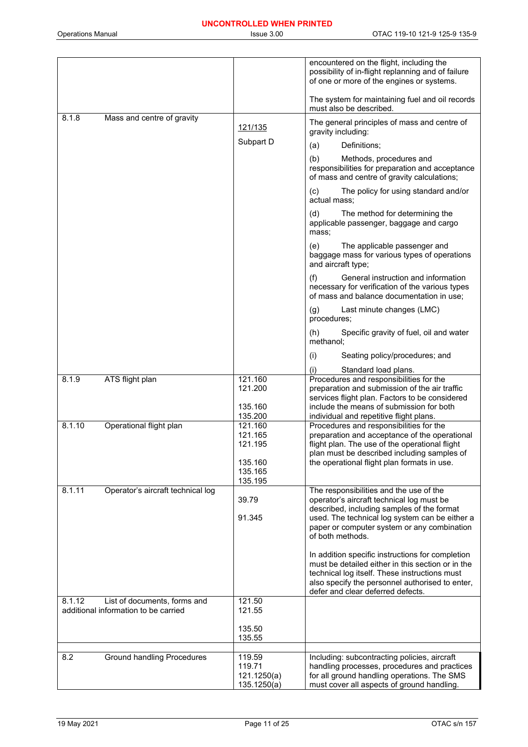|                                                                                |                    | encountered on the flight, including the<br>possibility of in-flight replanning and of failure<br>of one or more of the engines or systems. |
|--------------------------------------------------------------------------------|--------------------|---------------------------------------------------------------------------------------------------------------------------------------------|
|                                                                                |                    | The system for maintaining fuel and oil records<br>must also be described.                                                                  |
| 8.1.8<br>Mass and centre of gravity                                            | 121/135            | The general principles of mass and centre of<br>gravity including:                                                                          |
|                                                                                | Subpart D          | Definitions;<br>(a)                                                                                                                         |
|                                                                                |                    | (b)<br>Methods, procedures and<br>responsibilities for preparation and acceptance<br>of mass and centre of gravity calculations;            |
|                                                                                |                    | (c)<br>The policy for using standard and/or<br>actual mass;                                                                                 |
|                                                                                |                    | (d)<br>The method for determining the<br>applicable passenger, baggage and cargo<br>mass;                                                   |
|                                                                                |                    | (e)<br>The applicable passenger and<br>baggage mass for various types of operations<br>and aircraft type;                                   |
|                                                                                |                    | (f)<br>General instruction and information<br>necessary for verification of the various types<br>of mass and balance documentation in use;  |
|                                                                                |                    | Last minute changes (LMC)<br>(g)<br>procedures;                                                                                             |
|                                                                                |                    | Specific gravity of fuel, oil and water<br>(h)<br>methanol;                                                                                 |
|                                                                                |                    | (i)<br>Seating policy/procedures; and                                                                                                       |
|                                                                                |                    | Standard load plans.<br>(i)                                                                                                                 |
| ATS flight plan<br>8.1.9                                                       | 121.160<br>121.200 | Procedures and responsibilities for the<br>preparation and submission of the air traffic                                                    |
|                                                                                |                    | services flight plan. Factors to be considered                                                                                              |
|                                                                                | 135.160<br>135.200 | include the means of submission for both                                                                                                    |
| 8.1.10<br>Operational flight plan                                              | 121.160            | individual and repetitive flight plans.<br>Procedures and responsibilities for the                                                          |
|                                                                                | 121.165            | preparation and acceptance of the operational                                                                                               |
|                                                                                | 121.195            | flight plan. The use of the operational flight<br>plan must be described including samples of                                               |
|                                                                                | 135.160            | the operational flight plan formats in use.                                                                                                 |
|                                                                                | 135.165<br>135.195 |                                                                                                                                             |
| 8.1.11<br>Operator's aircraft technical log                                    |                    | The responsibilities and the use of the                                                                                                     |
|                                                                                | 39.79              | operator's aircraft technical log must be<br>described, including samples of the format                                                     |
|                                                                                | 91.345             | used. The technical log system can be either a                                                                                              |
|                                                                                |                    | paper or computer system or any combination<br>of both methods.                                                                             |
|                                                                                |                    | In addition specific instructions for completion                                                                                            |
|                                                                                |                    | must be detailed either in this section or in the                                                                                           |
|                                                                                |                    | technical log itself. These instructions must<br>also specify the personnel authorised to enter,                                            |
|                                                                                |                    | defer and clear deferred defects.                                                                                                           |
| 8.1.12<br>List of documents, forms and<br>additional information to be carried | 121.50<br>121.55   |                                                                                                                                             |
|                                                                                | 135.50<br>135.55   |                                                                                                                                             |
| <b>Ground handling Procedures</b><br>8.2                                       | 119.59             | Including: subcontracting policies, aircraft                                                                                                |
|                                                                                | 119.71             | handling processes, procedures and practices                                                                                                |
|                                                                                | 121.1250(a)        | for all ground handling operations. The SMS                                                                                                 |
|                                                                                | 135.1250(a)        | must cover all aspects of ground handling.                                                                                                  |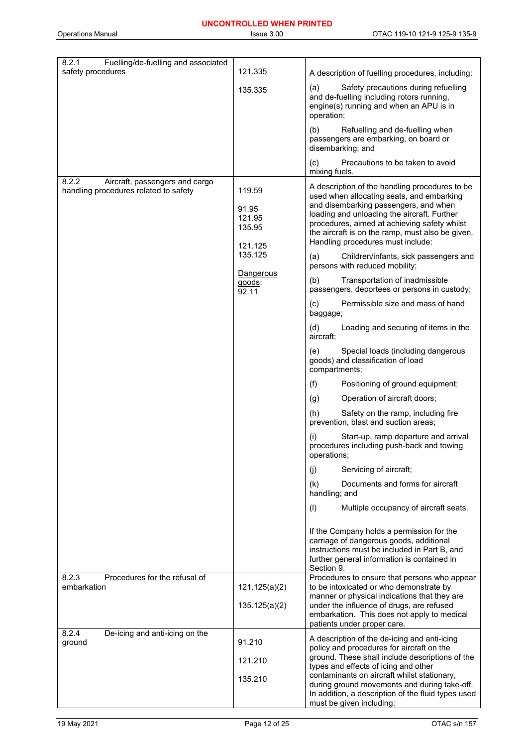Operations Manual **Issue 3.00** CDTAC 119-10 121-9 125-9 135-9

| 8.2.1<br>Fuelling/de-fuelling and associated<br>safety procedures                | 121.335                                                                                   |                                                                                                                                                                                                                                                                                                                                                                                                                                                                                                                                                                                                                                                                                                                                                                                                                                                                                                                                                                                                                                                                                                                                                                                                                                                                                                       |
|----------------------------------------------------------------------------------|-------------------------------------------------------------------------------------------|-------------------------------------------------------------------------------------------------------------------------------------------------------------------------------------------------------------------------------------------------------------------------------------------------------------------------------------------------------------------------------------------------------------------------------------------------------------------------------------------------------------------------------------------------------------------------------------------------------------------------------------------------------------------------------------------------------------------------------------------------------------------------------------------------------------------------------------------------------------------------------------------------------------------------------------------------------------------------------------------------------------------------------------------------------------------------------------------------------------------------------------------------------------------------------------------------------------------------------------------------------------------------------------------------------|
|                                                                                  |                                                                                           | A description of fuelling procedures, including:<br>Safety precautions during refuelling<br>(a)                                                                                                                                                                                                                                                                                                                                                                                                                                                                                                                                                                                                                                                                                                                                                                                                                                                                                                                                                                                                                                                                                                                                                                                                       |
|                                                                                  | 135.335                                                                                   | and de-fuelling including rotors running,<br>engine(s) running and when an APU is in<br>operation;                                                                                                                                                                                                                                                                                                                                                                                                                                                                                                                                                                                                                                                                                                                                                                                                                                                                                                                                                                                                                                                                                                                                                                                                    |
|                                                                                  |                                                                                           | (b)<br>Refuelling and de-fuelling when<br>passengers are embarking, on board or<br>disembarking; and                                                                                                                                                                                                                                                                                                                                                                                                                                                                                                                                                                                                                                                                                                                                                                                                                                                                                                                                                                                                                                                                                                                                                                                                  |
|                                                                                  |                                                                                           | Precautions to be taken to avoid<br>(c)<br>mixing fuels.                                                                                                                                                                                                                                                                                                                                                                                                                                                                                                                                                                                                                                                                                                                                                                                                                                                                                                                                                                                                                                                                                                                                                                                                                                              |
| 8.2.2<br>Aircraft, passengers and cargo<br>handling procedures related to safety | 119.59<br>91.95<br>121.95<br>135.95<br>121.125<br>135.125<br>Dangerous<br>goods:<br>92.11 | A description of the handling procedures to be<br>used when allocating seats, and embarking<br>and disembarking passengers, and when<br>loading and unloading the aircraft. Further<br>procedures, aimed at achieving safety whilst<br>the aircraft is on the ramp, must also be given.<br>Handling procedures must include:<br>Children/infants, sick passengers and<br>(a)<br>persons with reduced mobility;<br>Transportation of inadmissible<br>(b)<br>passengers, deportees or persons in custody;<br>Permissible size and mass of hand<br>(c)<br>baggage;<br>Loading and securing of items in the<br>(d)<br>aircraft:<br>Special loads (including dangerous<br>(e)<br>goods) and classification of load<br>compartments;<br>(f)<br>Positioning of ground equipment;<br>Operation of aircraft doors;<br>(g)<br>Safety on the ramp, including fire<br>(h)<br>prevention, blast and suction areas;<br>(i)<br>Start-up, ramp departure and arrival<br>procedures including push-back and towing<br>operations;<br>Servicing of aircraft;<br>(j)<br>Documents and forms for aircraft<br>(k)<br>handling; and<br>Multiple occupancy of aircraft seats.<br>(1)<br>If the Company holds a permission for the<br>carriage of dangerous goods, additional<br>instructions must be included in Part B, and |
| Procedures for the refusal of                                                    |                                                                                           | further general information is contained in<br>Section 9.                                                                                                                                                                                                                                                                                                                                                                                                                                                                                                                                                                                                                                                                                                                                                                                                                                                                                                                                                                                                                                                                                                                                                                                                                                             |
| 8.2.3<br>embarkation                                                             | 121.125(a)(2)                                                                             | Procedures to ensure that persons who appear<br>to be intoxicated or who demonstrate by<br>manner or physical indications that they are                                                                                                                                                                                                                                                                                                                                                                                                                                                                                                                                                                                                                                                                                                                                                                                                                                                                                                                                                                                                                                                                                                                                                               |
|                                                                                  | 135.125(a)(2)                                                                             | under the influence of drugs, are refused<br>embarkation. This does not apply to medical<br>patients under proper care.                                                                                                                                                                                                                                                                                                                                                                                                                                                                                                                                                                                                                                                                                                                                                                                                                                                                                                                                                                                                                                                                                                                                                                               |
| 8.2.4<br>De-icing and anti-icing on the<br>ground                                | 91.210                                                                                    | A description of the de-icing and anti-icing<br>policy and procedures for aircraft on the                                                                                                                                                                                                                                                                                                                                                                                                                                                                                                                                                                                                                                                                                                                                                                                                                                                                                                                                                                                                                                                                                                                                                                                                             |
|                                                                                  | 121.210                                                                                   | ground. These shall include descriptions of the<br>types and effects of icing and other                                                                                                                                                                                                                                                                                                                                                                                                                                                                                                                                                                                                                                                                                                                                                                                                                                                                                                                                                                                                                                                                                                                                                                                                               |
|                                                                                  | 135.210                                                                                   | contaminants on aircraft whilst stationary,<br>during ground movements and during take-off.<br>In addition, a description of the fluid types used<br>must be given including:                                                                                                                                                                                                                                                                                                                                                                                                                                                                                                                                                                                                                                                                                                                                                                                                                                                                                                                                                                                                                                                                                                                         |
|                                                                                  |                                                                                           |                                                                                                                                                                                                                                                                                                                                                                                                                                                                                                                                                                                                                                                                                                                                                                                                                                                                                                                                                                                                                                                                                                                                                                                                                                                                                                       |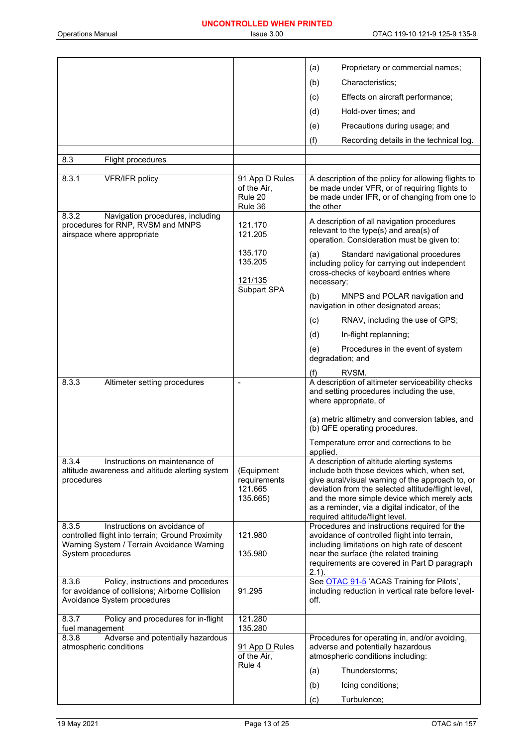|                                                                                                                                                              |                                                     | (a)<br>Proprietary or commercial names;                                                                                                                                                                                                                                                                                                  |
|--------------------------------------------------------------------------------------------------------------------------------------------------------------|-----------------------------------------------------|------------------------------------------------------------------------------------------------------------------------------------------------------------------------------------------------------------------------------------------------------------------------------------------------------------------------------------------|
|                                                                                                                                                              |                                                     | (b)<br>Characteristics;                                                                                                                                                                                                                                                                                                                  |
|                                                                                                                                                              |                                                     | Effects on aircraft performance;<br>(c)                                                                                                                                                                                                                                                                                                  |
|                                                                                                                                                              |                                                     | (d)<br>Hold-over times; and                                                                                                                                                                                                                                                                                                              |
|                                                                                                                                                              |                                                     | Precautions during usage; and<br>(e)                                                                                                                                                                                                                                                                                                     |
|                                                                                                                                                              |                                                     | (f)<br>Recording details in the technical log.                                                                                                                                                                                                                                                                                           |
| 8.3<br>Flight procedures                                                                                                                                     |                                                     |                                                                                                                                                                                                                                                                                                                                          |
|                                                                                                                                                              |                                                     |                                                                                                                                                                                                                                                                                                                                          |
| 8.3.1<br>VFR/IFR policy                                                                                                                                      | 91 App D Rules<br>of the Air,<br>Rule 20<br>Rule 36 | A description of the policy for allowing flights to<br>be made under VFR, or of requiring flights to<br>be made under IFR, or of changing from one to<br>the other                                                                                                                                                                       |
| 8.3.2<br>Navigation procedures, including<br>procedures for RNP, RVSM and MNPS<br>airspace where appropriate                                                 | 121.170<br>121.205                                  | A description of all navigation procedures<br>relevant to the type(s) and area(s) of<br>operation. Consideration must be given to:                                                                                                                                                                                                       |
|                                                                                                                                                              | 135.170<br>135.205<br>121/135                       | (a)<br>Standard navigational procedures<br>including policy for carrying out independent<br>cross-checks of keyboard entries where<br>necessary;                                                                                                                                                                                         |
|                                                                                                                                                              | Subpart SPA                                         | (b)<br>MNPS and POLAR navigation and<br>navigation in other designated areas;                                                                                                                                                                                                                                                            |
|                                                                                                                                                              |                                                     | RNAV, including the use of GPS;<br>(c)                                                                                                                                                                                                                                                                                                   |
|                                                                                                                                                              |                                                     | (d)<br>In-flight replanning;                                                                                                                                                                                                                                                                                                             |
|                                                                                                                                                              |                                                     | Procedures in the event of system<br>(e)<br>degradation; and                                                                                                                                                                                                                                                                             |
|                                                                                                                                                              |                                                     | RVSM.<br>(f)                                                                                                                                                                                                                                                                                                                             |
| 8.3.3<br>Altimeter setting procedures                                                                                                                        | $\qquad \qquad \blacksquare$                        | A description of altimeter serviceability checks<br>and setting procedures including the use,<br>where appropriate, of                                                                                                                                                                                                                   |
|                                                                                                                                                              |                                                     | (a) metric altimetry and conversion tables, and<br>(b) QFE operating procedures.                                                                                                                                                                                                                                                         |
|                                                                                                                                                              |                                                     | Temperature error and corrections to be<br>applied.                                                                                                                                                                                                                                                                                      |
| 8.3.4<br>Instructions on maintenance of<br>altitude awareness and altitude alerting system<br>procedures                                                     | (Equipment<br>requirements<br>121.665<br>135.665)   | A description of altitude alerting systems<br>include both those devices which, when set,<br>give aural/visual warning of the approach to, or<br>deviation from the selected altitude/flight level,<br>and the more simple device which merely acts<br>as a reminder, via a digital indicator, of the<br>required altitude/flight level. |
| Instructions on avoidance of<br>8.3.5<br>controlled flight into terrain; Ground Proximity<br>Warning System / Terrain Avoidance Warning<br>System procedures | 121.980<br>135.980                                  | Procedures and instructions required for the<br>avoidance of controlled flight into terrain,<br>including limitations on high rate of descent<br>near the surface (the related training<br>requirements are covered in Part D paragraph<br>$2.1$ ).                                                                                      |
| 8.3.6<br>Policy, instructions and procedures<br>for avoidance of collisions; Airborne Collision<br>Avoidance System procedures                               | 91.295                                              | See OTAC 91-5 'ACAS Training for Pilots',<br>including reduction in vertical rate before level-<br>off.                                                                                                                                                                                                                                  |
| 8.3.7<br>Policy and procedures for in-flight<br>fuel management                                                                                              | 121.280<br>135.280                                  |                                                                                                                                                                                                                                                                                                                                          |
| Adverse and potentially hazardous<br>8.3.8<br>atmospheric conditions                                                                                         | 91 App D Rules<br>of the Air,<br>Rule 4             | Procedures for operating in, and/or avoiding,<br>adverse and potentially hazardous<br>atmospheric conditions including:<br>Thunderstorms;<br>(a)                                                                                                                                                                                         |
|                                                                                                                                                              |                                                     | Icing conditions;<br>(b)                                                                                                                                                                                                                                                                                                                 |
|                                                                                                                                                              |                                                     | Turbulence;<br>(c)                                                                                                                                                                                                                                                                                                                       |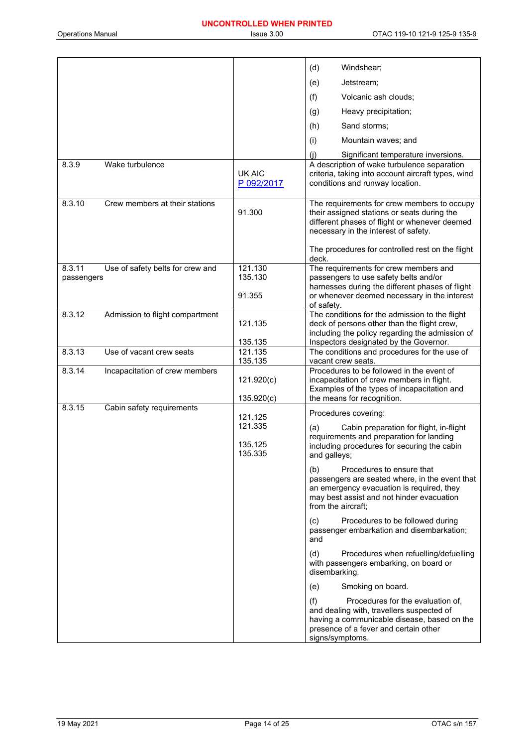|                      |                                  |                              | (d)<br>Windshear;                                                                                                                                                                                  |
|----------------------|----------------------------------|------------------------------|----------------------------------------------------------------------------------------------------------------------------------------------------------------------------------------------------|
|                      |                                  |                              | (e)<br>Jetstream:                                                                                                                                                                                  |
|                      |                                  |                              | (f)<br>Volcanic ash clouds;                                                                                                                                                                        |
|                      |                                  |                              | Heavy precipitation;<br>(g)                                                                                                                                                                        |
|                      |                                  |                              | (h)<br>Sand storms:                                                                                                                                                                                |
|                      |                                  |                              | (i)<br>Mountain waves; and                                                                                                                                                                         |
|                      |                                  |                              | (i)<br>Significant temperature inversions.                                                                                                                                                         |
| 8.3.9                | Wake turbulence                  | <b>UK AIC</b><br>P 092/2017  | A description of wake turbulence separation<br>criteria, taking into account aircraft types, wind<br>conditions and runway location.                                                               |
| 8.3.10               | Crew members at their stations   | 91.300                       | The requirements for crew members to occupy<br>their assigned stations or seats during the<br>different phases of flight or whenever deemed<br>necessary in the interest of safety.                |
|                      |                                  |                              | The procedures for controlled rest on the flight<br>deck.                                                                                                                                          |
| 8.3.11<br>passengers | Use of safety belts for crew and | 121.130<br>135.130<br>91.355 | The requirements for crew members and<br>passengers to use safety belts and/or<br>harnesses during the different phases of flight<br>or whenever deemed necessary in the interest                  |
|                      |                                  |                              | of safety.                                                                                                                                                                                         |
| 8.3.12               | Admission to flight compartment  | 121.135                      | The conditions for the admission to the flight<br>deck of persons other than the flight crew,<br>including the policy regarding the admission of                                                   |
| 8.3.13               | Use of vacant crew seats         | 135.135<br>121.135           | Inspectors designated by the Governor.<br>The conditions and procedures for the use of                                                                                                             |
|                      |                                  | 135.135                      | vacant crew seats.<br>Procedures to be followed in the event of                                                                                                                                    |
| 8.3.14               | Incapacitation of crew members   | 121.920(c)<br>135.920(c)     | incapacitation of crew members in flight.<br>Examples of the types of incapacitation and<br>the means for recognition.                                                                             |
| 8.3.15               | Cabin safety requirements        | 121.125                      | Procedures covering:                                                                                                                                                                               |
|                      |                                  | 121.335                      | (a)<br>Cabin preparation for flight, in-flight                                                                                                                                                     |
|                      |                                  | 135.125<br>135.335           | requirements and preparation for landing<br>including procedures for securing the cabin<br>and galleys;                                                                                            |
|                      |                                  |                              | (b)<br>Procedures to ensure that<br>passengers are seated where, in the event that<br>an emergency evacuation is required, they<br>may best assist and not hinder evacuation<br>from the aircraft: |
|                      |                                  |                              | (c)<br>Procedures to be followed during<br>passenger embarkation and disembarkation;<br>and                                                                                                        |
|                      |                                  |                              | (d)<br>Procedures when refuelling/defuelling<br>with passengers embarking, on board or<br>disembarking.                                                                                            |
|                      |                                  |                              | Smoking on board.<br>(e)                                                                                                                                                                           |
|                      |                                  |                              | (f)<br>Procedures for the evaluation of,<br>and dealing with, travellers suspected of<br>having a communicable disease, based on the<br>presence of a fever and certain other<br>signs/symptoms.   |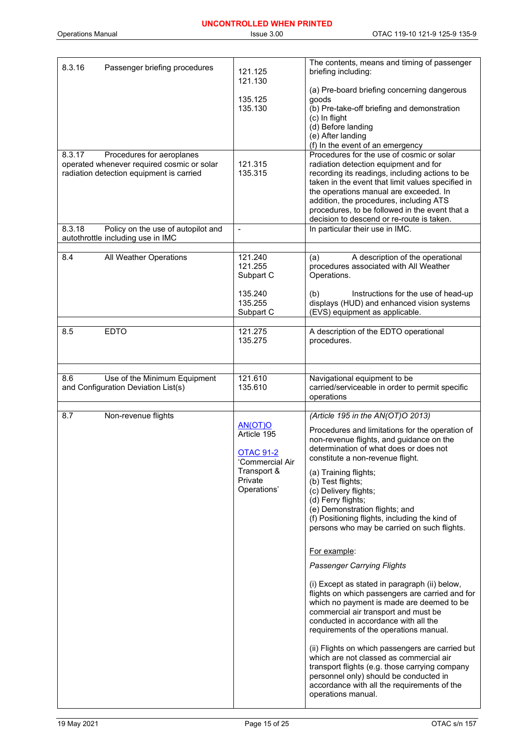| 8.3.16<br>Passenger briefing procedures                                                                                       | 121.125<br>121.130                                                                                     | The contents, means and timing of passenger<br>briefing including:                                                                                                                                                                                                                                                                                                                                                                                                                                                                                                                                                                                                                                                                                                                                                                                                                                                                                                                                                                             |
|-------------------------------------------------------------------------------------------------------------------------------|--------------------------------------------------------------------------------------------------------|------------------------------------------------------------------------------------------------------------------------------------------------------------------------------------------------------------------------------------------------------------------------------------------------------------------------------------------------------------------------------------------------------------------------------------------------------------------------------------------------------------------------------------------------------------------------------------------------------------------------------------------------------------------------------------------------------------------------------------------------------------------------------------------------------------------------------------------------------------------------------------------------------------------------------------------------------------------------------------------------------------------------------------------------|
|                                                                                                                               | 135.125<br>135.130                                                                                     | (a) Pre-board briefing concerning dangerous<br>goods<br>(b) Pre-take-off briefing and demonstration<br>(c) In flight<br>(d) Before landing<br>(e) After landing<br>(f) In the event of an emergency                                                                                                                                                                                                                                                                                                                                                                                                                                                                                                                                                                                                                                                                                                                                                                                                                                            |
| 8.3.17<br>Procedures for aeroplanes<br>operated whenever required cosmic or solar<br>radiation detection equipment is carried | 121.315<br>135.315                                                                                     | Procedures for the use of cosmic or solar<br>radiation detection equipment and for<br>recording its readings, including actions to be<br>taken in the event that limit values specified in<br>the operations manual are exceeded. In<br>addition, the procedures, including ATS<br>procedures, to be followed in the event that a<br>decision to descend or re-route is taken.                                                                                                                                                                                                                                                                                                                                                                                                                                                                                                                                                                                                                                                                 |
| Policy on the use of autopilot and<br>8.3.18<br>autothrottle including use in IMC                                             | $\overline{a}$                                                                                         | In particular their use in IMC.                                                                                                                                                                                                                                                                                                                                                                                                                                                                                                                                                                                                                                                                                                                                                                                                                                                                                                                                                                                                                |
| 8.4<br>All Weather Operations                                                                                                 | 121.240<br>121.255<br>Subpart C<br>135.240                                                             | A description of the operational<br>(a)<br>procedures associated with All Weather<br>Operations.<br>Instructions for the use of head-up                                                                                                                                                                                                                                                                                                                                                                                                                                                                                                                                                                                                                                                                                                                                                                                                                                                                                                        |
|                                                                                                                               | 135.255<br>Subpart C                                                                                   | (b)<br>displays (HUD) and enhanced vision systems<br>(EVS) equipment as applicable.                                                                                                                                                                                                                                                                                                                                                                                                                                                                                                                                                                                                                                                                                                                                                                                                                                                                                                                                                            |
| <b>EDTO</b><br>8.5                                                                                                            | 121.275<br>135.275                                                                                     | A description of the EDTO operational<br>procedures.                                                                                                                                                                                                                                                                                                                                                                                                                                                                                                                                                                                                                                                                                                                                                                                                                                                                                                                                                                                           |
| Use of the Minimum Equipment<br>8.6<br>and Configuration Deviation List(s)                                                    | 121.610<br>135.610                                                                                     | Navigational equipment to be<br>carried/serviceable in order to permit specific<br>operations                                                                                                                                                                                                                                                                                                                                                                                                                                                                                                                                                                                                                                                                                                                                                                                                                                                                                                                                                  |
| Non-revenue flights<br>8.7                                                                                                    | AN(OT)O<br>Article 195<br><b>OTAC 91-2</b><br>'Commercial Air<br>Transport &<br>Private<br>Operations' | (Article 195 in the AN(OT)O 2013)<br>Procedures and limitations for the operation of<br>non-revenue flights, and guidance on the<br>determination of what does or does not<br>constitute a non-revenue flight.<br>(a) Training flights;<br>(b) Test flights;<br>(c) Delivery flights;<br>(d) Ferry flights;<br>(e) Demonstration flights; and<br>(f) Positioning flights, including the kind of<br>persons who may be carried on such flights.<br>For example:<br><b>Passenger Carrying Flights</b><br>(i) Except as stated in paragraph (ii) below,<br>flights on which passengers are carried and for<br>which no payment is made are deemed to be<br>commercial air transport and must be<br>conducted in accordance with all the<br>requirements of the operations manual.<br>(ii) Flights on which passengers are carried but<br>which are not classed as commercial air<br>transport flights (e.g. those carrying company<br>personnel only) should be conducted in<br>accordance with all the requirements of the<br>operations manual. |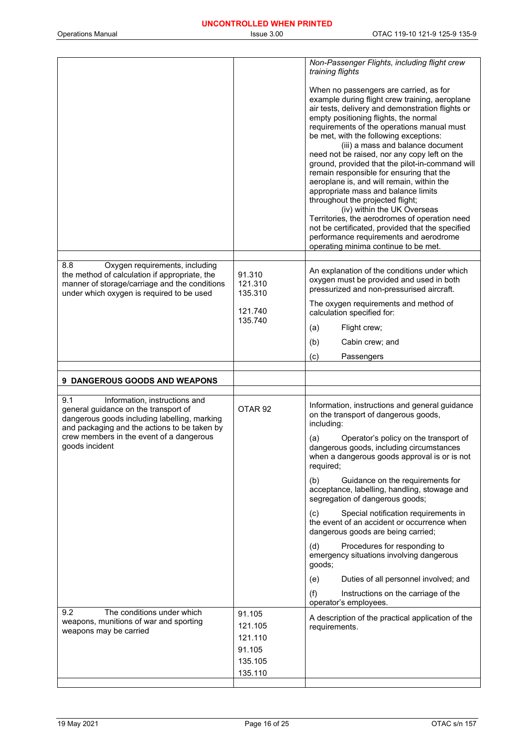|                                                                                                                                                                                      |                              | Non-Passenger Flights, including flight crew<br>training flights                                                                                                                                                                                                                                                                                                                                                                                                                                                                                                                                                                                                                                                                                                                                                |
|--------------------------------------------------------------------------------------------------------------------------------------------------------------------------------------|------------------------------|-----------------------------------------------------------------------------------------------------------------------------------------------------------------------------------------------------------------------------------------------------------------------------------------------------------------------------------------------------------------------------------------------------------------------------------------------------------------------------------------------------------------------------------------------------------------------------------------------------------------------------------------------------------------------------------------------------------------------------------------------------------------------------------------------------------------|
|                                                                                                                                                                                      |                              | When no passengers are carried, as for<br>example during flight crew training, aeroplane<br>air tests, delivery and demonstration flights or<br>empty positioning flights, the normal<br>requirements of the operations manual must<br>be met, with the following exceptions:<br>(iii) a mass and balance document<br>need not be raised, nor any copy left on the<br>ground, provided that the pilot-in-command will<br>remain responsible for ensuring that the<br>aeroplane is, and will remain, within the<br>appropriate mass and balance limits<br>throughout the projected flight;<br>(iv) within the UK Overseas<br>Territories, the aerodromes of operation need<br>not be certificated, provided that the specified<br>performance requirements and aerodrome<br>operating minima continue to be met. |
| 8.8<br>Oxygen requirements, including<br>the method of calculation if appropriate, the<br>manner of storage/carriage and the conditions<br>under which oxygen is required to be used | 91.310<br>121.310<br>135.310 | An explanation of the conditions under which<br>oxygen must be provided and used in both<br>pressurized and non-pressurised aircraft.                                                                                                                                                                                                                                                                                                                                                                                                                                                                                                                                                                                                                                                                           |
|                                                                                                                                                                                      | 121.740<br>135.740           | The oxygen requirements and method of<br>calculation specified for:                                                                                                                                                                                                                                                                                                                                                                                                                                                                                                                                                                                                                                                                                                                                             |
|                                                                                                                                                                                      |                              | Flight crew;<br>(a)                                                                                                                                                                                                                                                                                                                                                                                                                                                                                                                                                                                                                                                                                                                                                                                             |
|                                                                                                                                                                                      |                              | (b)<br>Cabin crew; and                                                                                                                                                                                                                                                                                                                                                                                                                                                                                                                                                                                                                                                                                                                                                                                          |
|                                                                                                                                                                                      |                              | (c)<br>Passengers                                                                                                                                                                                                                                                                                                                                                                                                                                                                                                                                                                                                                                                                                                                                                                                               |
|                                                                                                                                                                                      |                              |                                                                                                                                                                                                                                                                                                                                                                                                                                                                                                                                                                                                                                                                                                                                                                                                                 |
| 9 DANGEROUS GOODS AND WEAPONS                                                                                                                                                        |                              |                                                                                                                                                                                                                                                                                                                                                                                                                                                                                                                                                                                                                                                                                                                                                                                                                 |
| Information, instructions and<br>9.1<br>general guidance on the transport of<br>dangerous goods including labelling, marking<br>and packaging and the actions to be taken by         | OTAR <sub>92</sub>           | Information, instructions and general guidance<br>on the transport of dangerous goods,<br>including:                                                                                                                                                                                                                                                                                                                                                                                                                                                                                                                                                                                                                                                                                                            |
| crew members in the event of a dangerous<br>goods incident                                                                                                                           |                              | Operator's policy on the transport of<br>(a)<br>dangerous goods, including circumstances<br>when a dangerous goods approval is or is not<br>required;                                                                                                                                                                                                                                                                                                                                                                                                                                                                                                                                                                                                                                                           |
|                                                                                                                                                                                      |                              | (b)<br>Guidance on the requirements for<br>acceptance, labelling, handling, stowage and<br>segregation of dangerous goods;                                                                                                                                                                                                                                                                                                                                                                                                                                                                                                                                                                                                                                                                                      |
|                                                                                                                                                                                      |                              | Special notification requirements in<br>(c)<br>the event of an accident or occurrence when<br>dangerous goods are being carried;                                                                                                                                                                                                                                                                                                                                                                                                                                                                                                                                                                                                                                                                                |
|                                                                                                                                                                                      |                              | Procedures for responding to<br>(d)<br>emergency situations involving dangerous<br>goods;                                                                                                                                                                                                                                                                                                                                                                                                                                                                                                                                                                                                                                                                                                                       |
|                                                                                                                                                                                      |                              | Duties of all personnel involved; and<br>(e)                                                                                                                                                                                                                                                                                                                                                                                                                                                                                                                                                                                                                                                                                                                                                                    |
|                                                                                                                                                                                      |                              | (f)<br>Instructions on the carriage of the<br>operator's employees.                                                                                                                                                                                                                                                                                                                                                                                                                                                                                                                                                                                                                                                                                                                                             |
| The conditions under which<br>9.2<br>weapons, munitions of war and sporting                                                                                                          | 91.105                       | A description of the practical application of the                                                                                                                                                                                                                                                                                                                                                                                                                                                                                                                                                                                                                                                                                                                                                               |
| weapons may be carried                                                                                                                                                               | 121.105<br>121.110           | requirements.                                                                                                                                                                                                                                                                                                                                                                                                                                                                                                                                                                                                                                                                                                                                                                                                   |
|                                                                                                                                                                                      | 91.105                       |                                                                                                                                                                                                                                                                                                                                                                                                                                                                                                                                                                                                                                                                                                                                                                                                                 |
|                                                                                                                                                                                      | 135.105<br>135.110           |                                                                                                                                                                                                                                                                                                                                                                                                                                                                                                                                                                                                                                                                                                                                                                                                                 |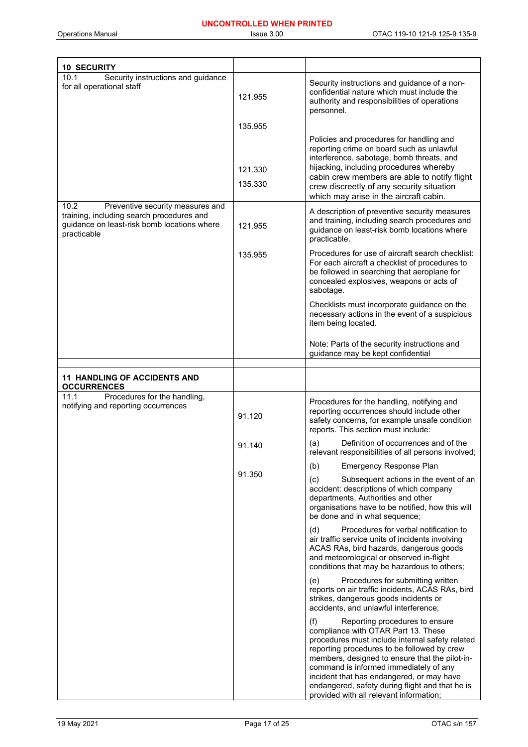| <b>10 SECURITY</b>                                                                                                                                  |                    |                                                                                                                                                                                                                                                                                                                                                                                                                       |
|-----------------------------------------------------------------------------------------------------------------------------------------------------|--------------------|-----------------------------------------------------------------------------------------------------------------------------------------------------------------------------------------------------------------------------------------------------------------------------------------------------------------------------------------------------------------------------------------------------------------------|
| 10.1<br>Security instructions and guidance<br>for all operational staff                                                                             | 121.955            | Security instructions and guidance of a non-<br>confidential nature which must include the<br>authority and responsibilities of operations<br>personnel.                                                                                                                                                                                                                                                              |
|                                                                                                                                                     | 135.955            |                                                                                                                                                                                                                                                                                                                                                                                                                       |
|                                                                                                                                                     | 121.330<br>135.330 | Policies and procedures for handling and<br>reporting crime on board such as unlawful<br>interference, sabotage, bomb threats, and<br>hijacking, including procedures whereby<br>cabin crew members are able to notify flight<br>crew discreetly of any security situation<br>which may arise in the aircraft cabin.                                                                                                  |
| 10.2<br>Preventive security measures and<br>training, including search procedures and<br>guidance on least-risk bomb locations where<br>practicable | 121.955            | A description of preventive security measures<br>and training, including search procedures and<br>guidance on least-risk bomb locations where<br>practicable.                                                                                                                                                                                                                                                         |
|                                                                                                                                                     | 135.955            | Procedures for use of aircraft search checklist:<br>For each aircraft a checklist of procedures to<br>be followed in searching that aeroplane for<br>concealed explosives, weapons or acts of<br>sabotage.                                                                                                                                                                                                            |
|                                                                                                                                                     |                    | Checklists must incorporate guidance on the<br>necessary actions in the event of a suspicious<br>item being located.                                                                                                                                                                                                                                                                                                  |
|                                                                                                                                                     |                    | Note: Parts of the security instructions and<br>guidance may be kept confidential                                                                                                                                                                                                                                                                                                                                     |
|                                                                                                                                                     |                    |                                                                                                                                                                                                                                                                                                                                                                                                                       |
| <b>11 HANDLING OF ACCIDENTS AND</b><br><b>OCCURRENCES</b>                                                                                           |                    |                                                                                                                                                                                                                                                                                                                                                                                                                       |
| 11.1<br>Procedures for the handling,<br>notifying and reporting occurrences                                                                         | 91.120             | Procedures for the handling, notifying and<br>reporting occurrences should include other<br>safety concerns, for example unsafe condition<br>reports. This section must include:                                                                                                                                                                                                                                      |
|                                                                                                                                                     | 91.140             | Definition of occurrences and of the<br>(a)<br>relevant responsibilities of all persons involved;                                                                                                                                                                                                                                                                                                                     |
|                                                                                                                                                     |                    | (b)<br><b>Emergency Response Plan</b>                                                                                                                                                                                                                                                                                                                                                                                 |
|                                                                                                                                                     | 91.350             | Subsequent actions in the event of an<br>(c)<br>accident: descriptions of which company<br>departments, Authorities and other<br>organisations have to be notified, how this will<br>be done and in what sequence;                                                                                                                                                                                                    |
|                                                                                                                                                     |                    | Procedures for verbal notification to<br>(d)<br>air traffic service units of incidents involving<br>ACAS RAs, bird hazards, dangerous goods<br>and meteorological or observed in-flight<br>conditions that may be hazardous to others;                                                                                                                                                                                |
|                                                                                                                                                     |                    | Procedures for submitting written<br>(e)<br>reports on air traffic incidents, ACAS RAs, bird<br>strikes, dangerous goods incidents or<br>accidents, and unlawful interference;                                                                                                                                                                                                                                        |
|                                                                                                                                                     |                    | (f)<br>Reporting procedures to ensure<br>compliance with OTAR Part 13. These<br>procedures must include internal safety related<br>reporting procedures to be followed by crew<br>members, designed to ensure that the pilot-in-<br>command is informed immediately of any<br>incident that has endangered, or may have<br>endangered, safety during flight and that he is<br>provided with all relevant information; |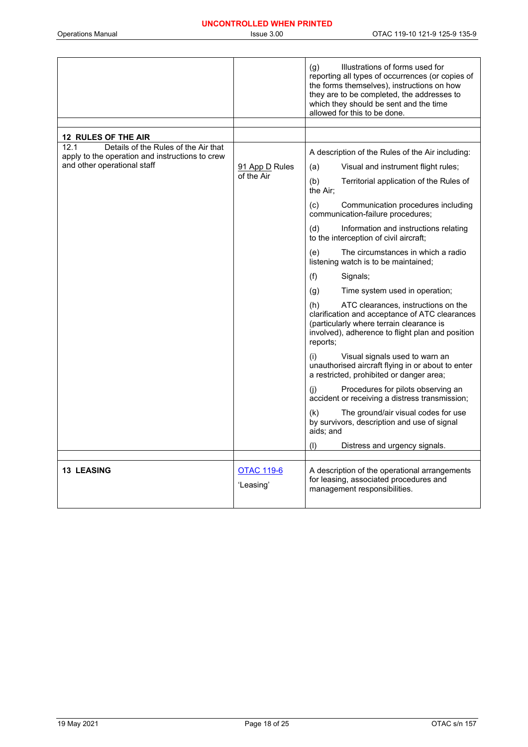|                                                                                                 |                                | Illustrations of forms used for<br>(g)<br>reporting all types of occurrences (or copies of<br>the forms themselves), instructions on how<br>they are to be completed, the addresses to<br>which they should be sent and the time<br>allowed for this to be done. |
|-------------------------------------------------------------------------------------------------|--------------------------------|------------------------------------------------------------------------------------------------------------------------------------------------------------------------------------------------------------------------------------------------------------------|
|                                                                                                 |                                |                                                                                                                                                                                                                                                                  |
| <b>12 RULES OF THE AIR</b>                                                                      |                                |                                                                                                                                                                                                                                                                  |
| 12.1<br>Details of the Rules of the Air that<br>apply to the operation and instructions to crew |                                | A description of the Rules of the Air including:                                                                                                                                                                                                                 |
| and other operational staff                                                                     | 91 App D Rules                 | Visual and instrument flight rules;<br>(a)                                                                                                                                                                                                                       |
|                                                                                                 | of the Air                     | (b)<br>Territorial application of the Rules of<br>the Air:                                                                                                                                                                                                       |
|                                                                                                 |                                | (c)<br>Communication procedures including<br>communication-failure procedures;                                                                                                                                                                                   |
|                                                                                                 |                                | (d)<br>Information and instructions relating<br>to the interception of civil aircraft;                                                                                                                                                                           |
|                                                                                                 |                                | (e)<br>The circumstances in which a radio<br>listening watch is to be maintained;                                                                                                                                                                                |
|                                                                                                 |                                | (f)<br>Signals;                                                                                                                                                                                                                                                  |
|                                                                                                 |                                | Time system used in operation;<br>(g)                                                                                                                                                                                                                            |
|                                                                                                 |                                | (h)<br>ATC clearances, instructions on the<br>clarification and acceptance of ATC clearances<br>(particularly where terrain clearance is<br>involved), adherence to flight plan and position<br>reports;                                                         |
|                                                                                                 |                                | (i)<br>Visual signals used to warn an<br>unauthorised aircraft flying in or about to enter<br>a restricted, prohibited or danger area;                                                                                                                           |
|                                                                                                 |                                | Procedures for pilots observing an<br>(i)<br>accident or receiving a distress transmission;                                                                                                                                                                      |
|                                                                                                 |                                | The ground/air visual codes for use<br>(k)<br>by survivors, description and use of signal<br>aids; and                                                                                                                                                           |
|                                                                                                 |                                | (1)<br>Distress and urgency signals.                                                                                                                                                                                                                             |
|                                                                                                 |                                |                                                                                                                                                                                                                                                                  |
| <b>13 LEASING</b>                                                                               | <u>OTAC 119-6</u><br>'Leasing' | A description of the operational arrangements<br>for leasing, associated procedures and<br>management responsibilities.                                                                                                                                          |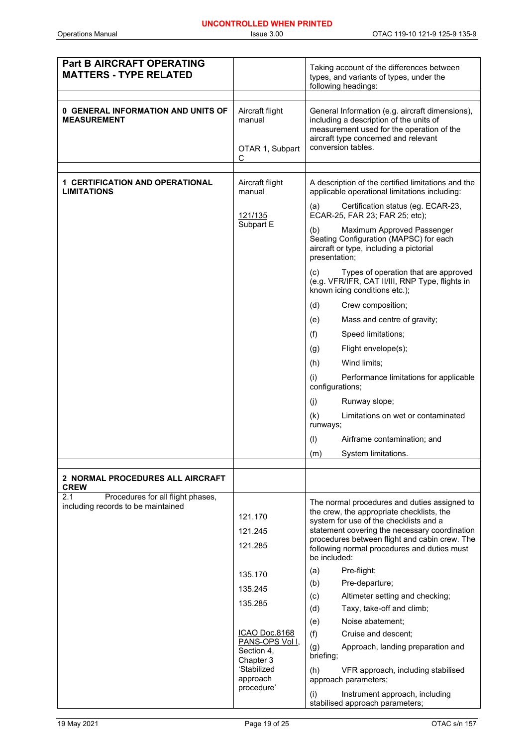| <b>Part B AIRCRAFT OPERATING</b><br><b>MATTERS - TYPE RELATED</b>              |                                                   | Taking account of the differences between<br>types, and variants of types, under the<br>following headings:                                                                                                                                                                                          |
|--------------------------------------------------------------------------------|---------------------------------------------------|------------------------------------------------------------------------------------------------------------------------------------------------------------------------------------------------------------------------------------------------------------------------------------------------------|
|                                                                                |                                                   |                                                                                                                                                                                                                                                                                                      |
| <b>0 GENERAL INFORMATION AND UNITS OF</b><br><b>MEASUREMENT</b>                | Aircraft flight<br>manual<br>OTAR 1, Subpart<br>С | General Information (e.g. aircraft dimensions),<br>including a description of the units of<br>measurement used for the operation of the<br>aircraft type concerned and relevant<br>conversion tables.                                                                                                |
|                                                                                |                                                   |                                                                                                                                                                                                                                                                                                      |
| <b>1 CERTIFICATION AND OPERATIONAL</b><br><b>LIMITATIONS</b>                   | Aircraft flight<br>manual                         | A description of the certified limitations and the<br>applicable operational limitations including:                                                                                                                                                                                                  |
|                                                                                | <u>121/135</u>                                    | Certification status (eg. ECAR-23,<br>(a)<br>ECAR-25, FAR 23; FAR 25; etc);                                                                                                                                                                                                                          |
|                                                                                | Subpart E                                         | (b)<br>Maximum Approved Passenger<br>Seating Configuration (MAPSC) for each<br>aircraft or type, including a pictorial<br>presentation;                                                                                                                                                              |
|                                                                                |                                                   | (c)<br>Types of operation that are approved<br>(e.g. VFR/IFR, CAT II/III, RNP Type, flights in<br>known icing conditions etc.);                                                                                                                                                                      |
|                                                                                |                                                   | (d)<br>Crew composition;                                                                                                                                                                                                                                                                             |
|                                                                                |                                                   | (e)<br>Mass and centre of gravity;                                                                                                                                                                                                                                                                   |
|                                                                                |                                                   | (f)<br>Speed limitations;                                                                                                                                                                                                                                                                            |
|                                                                                |                                                   | Flight envelope(s);<br>(g)                                                                                                                                                                                                                                                                           |
|                                                                                |                                                   | (h)<br>Wind limits;                                                                                                                                                                                                                                                                                  |
|                                                                                |                                                   | (i)<br>Performance limitations for applicable<br>configurations;                                                                                                                                                                                                                                     |
|                                                                                |                                                   | (j)<br>Runway slope;                                                                                                                                                                                                                                                                                 |
|                                                                                |                                                   | (k)<br>Limitations on wet or contaminated<br>runways;                                                                                                                                                                                                                                                |
|                                                                                |                                                   | Airframe contamination; and<br>(1)                                                                                                                                                                                                                                                                   |
|                                                                                |                                                   | System limitations.<br>(m)                                                                                                                                                                                                                                                                           |
|                                                                                |                                                   |                                                                                                                                                                                                                                                                                                      |
| <b>2 NORMAL PROCEDURES ALL AIRCRAFT</b><br><b>CREW</b>                         |                                                   |                                                                                                                                                                                                                                                                                                      |
| Procedures for all flight phases,<br>2.1<br>including records to be maintained | 121.170<br>121.245<br>121.285                     | The normal procedures and duties assigned to<br>the crew, the appropriate checklists, the<br>system for use of the checklists and a<br>statement covering the necessary coordination<br>procedures between flight and cabin crew. The<br>following normal procedures and duties must<br>be included: |
|                                                                                | 135.170                                           | (a)<br>Pre-flight;                                                                                                                                                                                                                                                                                   |
|                                                                                | 135.245                                           | Pre-departure;<br>(b)                                                                                                                                                                                                                                                                                |
|                                                                                | 135.285                                           | (c)<br>Altimeter setting and checking;                                                                                                                                                                                                                                                               |
|                                                                                |                                                   | Taxy, take-off and climb;<br>(d)<br>Noise abatement;<br>(e)                                                                                                                                                                                                                                          |
|                                                                                | <b>ICAO Doc.8168</b>                              | (f)<br>Cruise and descent;                                                                                                                                                                                                                                                                           |
|                                                                                | PANS-OPS Vol I,<br>Section 4,<br>Chapter 3        | (g)<br>Approach, landing preparation and<br>briefing;                                                                                                                                                                                                                                                |
|                                                                                | 'Stabilized<br>approach                           | (h)<br>VFR approach, including stabilised<br>approach parameters;                                                                                                                                                                                                                                    |
|                                                                                | procedure'                                        | Instrument approach, including<br>(i)<br>stabilised approach parameters;                                                                                                                                                                                                                             |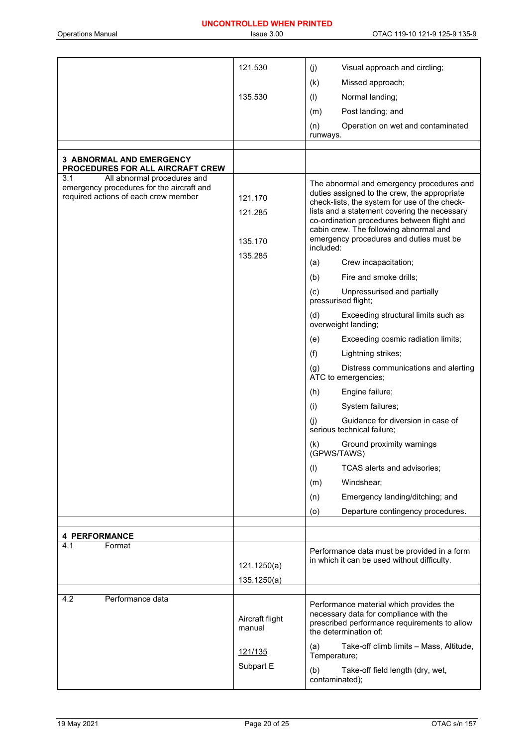|                                                                                                                         | 121.530                       | (j)<br>Visual approach and circling;                                                                                                                                                                                                                                                                                                        |
|-------------------------------------------------------------------------------------------------------------------------|-------------------------------|---------------------------------------------------------------------------------------------------------------------------------------------------------------------------------------------------------------------------------------------------------------------------------------------------------------------------------------------|
|                                                                                                                         |                               | (k)<br>Missed approach;                                                                                                                                                                                                                                                                                                                     |
|                                                                                                                         | 135.530                       | Normal landing;<br>(1)                                                                                                                                                                                                                                                                                                                      |
|                                                                                                                         |                               | Post landing; and<br>(m)                                                                                                                                                                                                                                                                                                                    |
|                                                                                                                         |                               | (n)<br>Operation on wet and contaminated                                                                                                                                                                                                                                                                                                    |
|                                                                                                                         |                               | runways.                                                                                                                                                                                                                                                                                                                                    |
| <b>3 ABNORMAL AND EMERGENCY</b>                                                                                         |                               |                                                                                                                                                                                                                                                                                                                                             |
| PROCEDURES FOR ALL AIRCRAFT CREW                                                                                        |                               |                                                                                                                                                                                                                                                                                                                                             |
| 3.1<br>All abnormal procedures and<br>emergency procedures for the aircraft and<br>required actions of each crew member | 121.170<br>121.285<br>135.170 | The abnormal and emergency procedures and<br>duties assigned to the crew, the appropriate<br>check-lists, the system for use of the check-<br>lists and a statement covering the necessary<br>co-ordination procedures between flight and<br>cabin crew. The following abnormal and<br>emergency procedures and duties must be<br>included: |
|                                                                                                                         | 135.285                       | Crew incapacitation;<br>(a)                                                                                                                                                                                                                                                                                                                 |
|                                                                                                                         |                               | Fire and smoke drills;<br>(b)                                                                                                                                                                                                                                                                                                               |
|                                                                                                                         |                               | (c)<br>Unpressurised and partially<br>pressurised flight;                                                                                                                                                                                                                                                                                   |
|                                                                                                                         |                               | (d)<br>Exceeding structural limits such as<br>overweight landing;                                                                                                                                                                                                                                                                           |
|                                                                                                                         |                               | Exceeding cosmic radiation limits;<br>(e)                                                                                                                                                                                                                                                                                                   |
|                                                                                                                         |                               | (f)<br>Lightning strikes;                                                                                                                                                                                                                                                                                                                   |
|                                                                                                                         |                               | Distress communications and alerting<br>(g)<br>ATC to emergencies;                                                                                                                                                                                                                                                                          |
|                                                                                                                         |                               | Engine failure;<br>(h)                                                                                                                                                                                                                                                                                                                      |
|                                                                                                                         |                               | (i)<br>System failures;                                                                                                                                                                                                                                                                                                                     |
|                                                                                                                         |                               | Guidance for diversion in case of<br>(j)<br>serious technical failure;                                                                                                                                                                                                                                                                      |
|                                                                                                                         |                               | Ground proximity warnings<br>(k)<br>(GPWS/TAWS)                                                                                                                                                                                                                                                                                             |
|                                                                                                                         |                               | (1)<br>TCAS alerts and advisories;                                                                                                                                                                                                                                                                                                          |
|                                                                                                                         |                               | Windshear:<br>(m)                                                                                                                                                                                                                                                                                                                           |
|                                                                                                                         |                               | Emergency landing/ditching; and<br>(n)                                                                                                                                                                                                                                                                                                      |
|                                                                                                                         |                               | (o)<br>Departure contingency procedures.                                                                                                                                                                                                                                                                                                    |
| <b>4 PERFORMANCE</b>                                                                                                    |                               |                                                                                                                                                                                                                                                                                                                                             |
| 4.1<br>Format                                                                                                           | 121.1250(a)                   | Performance data must be provided in a form<br>in which it can be used without difficulty.                                                                                                                                                                                                                                                  |
|                                                                                                                         | 135.1250(a)                   |                                                                                                                                                                                                                                                                                                                                             |
|                                                                                                                         |                               |                                                                                                                                                                                                                                                                                                                                             |
| 4.2<br>Performance data                                                                                                 | Aircraft flight<br>manual     | Performance material which provides the<br>necessary data for compliance with the<br>prescribed performance requirements to allow<br>the determination of:                                                                                                                                                                                  |
|                                                                                                                         | 121/135                       | (a)<br>Take-off climb limits - Mass, Altitude,<br>Temperature;                                                                                                                                                                                                                                                                              |
|                                                                                                                         | Subpart E                     | Take-off field length (dry, wet,<br>(b)<br>contaminated);                                                                                                                                                                                                                                                                                   |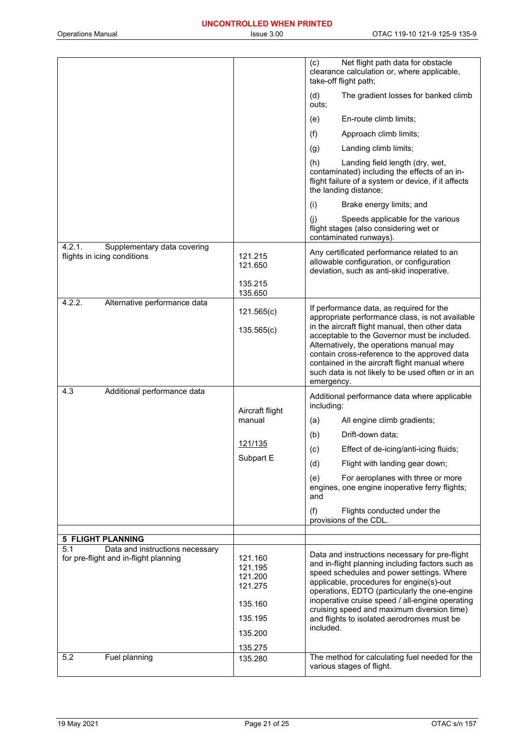|                                                                      |                                                     | Net flight path data for obstacle<br>(c)<br>clearance calculation or, where applicable,<br>take-off flight path;                                                                                                                                                                                               |
|----------------------------------------------------------------------|-----------------------------------------------------|----------------------------------------------------------------------------------------------------------------------------------------------------------------------------------------------------------------------------------------------------------------------------------------------------------------|
|                                                                      |                                                     | The gradient losses for banked climb<br>(d)<br>outs;                                                                                                                                                                                                                                                           |
|                                                                      |                                                     | En-route climb limits;<br>(e)                                                                                                                                                                                                                                                                                  |
|                                                                      |                                                     | (f)<br>Approach climb limits;                                                                                                                                                                                                                                                                                  |
|                                                                      |                                                     | (g)<br>Landing climb limits;                                                                                                                                                                                                                                                                                   |
|                                                                      |                                                     | (h)<br>Landing field length (dry, wet,<br>contaminated) including the effects of an in-<br>flight failure of a system or device, if it affects<br>the landing distance;                                                                                                                                        |
|                                                                      |                                                     | (i)<br>Brake energy limits; and                                                                                                                                                                                                                                                                                |
|                                                                      |                                                     | (i)<br>Speeds applicable for the various<br>flight stages (also considering wet or<br>contaminated runways).                                                                                                                                                                                                   |
| 4.2.1.<br>Supplementary data covering<br>flights in icing conditions | 121.215<br>121.650                                  | Any certificated performance related to an<br>allowable configuration, or configuration<br>deviation, such as anti-skid inoperative.                                                                                                                                                                           |
|                                                                      | 135.215<br>135.650                                  |                                                                                                                                                                                                                                                                                                                |
| 4.2.2.<br>Alternative performance data                               | 121.565(c)                                          | If performance data, as required for the<br>appropriate performance class, is not available                                                                                                                                                                                                                    |
|                                                                      | 135.565(c)                                          | in the aircraft flight manual, then other data<br>acceptable to the Governor must be included.<br>Alternatively, the operations manual may<br>contain cross-reference to the approved data<br>contained in the aircraft flight manual where<br>such data is not likely to be used often or in an<br>emergency. |
| 4.3<br>Additional performance data                                   |                                                     |                                                                                                                                                                                                                                                                                                                |
|                                                                      | Aircraft flight                                     | Additional performance data where applicable<br>including:                                                                                                                                                                                                                                                     |
|                                                                      | manual                                              | All engine climb gradients;<br>(a)                                                                                                                                                                                                                                                                             |
|                                                                      | 121/135                                             | (b)<br>Drift-down data;                                                                                                                                                                                                                                                                                        |
|                                                                      | Subpart E                                           | (c)<br>Effect of de-icing/anti-icing fluids;                                                                                                                                                                                                                                                                   |
|                                                                      |                                                     | Flight with landing gear down;<br>(d)                                                                                                                                                                                                                                                                          |
|                                                                      |                                                     | For aeroplanes with three or more<br>(e)<br>engines, one engine inoperative ferry flights;<br>and                                                                                                                                                                                                              |
|                                                                      |                                                     | (f)<br>Flights conducted under the<br>provisions of the CDL.                                                                                                                                                                                                                                                   |
| <b>5 FLIGHT PLANNING</b>                                             |                                                     |                                                                                                                                                                                                                                                                                                                |
| 5.1<br>Data and instructions necessary                               |                                                     |                                                                                                                                                                                                                                                                                                                |
| for pre-flight and in-flight planning                                | 121.160<br>121.195<br>121.200<br>121.275<br>135.160 | Data and instructions necessary for pre-flight<br>and in-flight planning including factors such as<br>speed schedules and power settings. Where<br>applicable, procedures for engine(s)-out<br>operations, EDTO (particularly the one-engine<br>inoperative cruise speed / all-engine operating                |
|                                                                      | 135.195                                             | cruising speed and maximum diversion time)<br>and flights to isolated aerodromes must be                                                                                                                                                                                                                       |
|                                                                      | 135.200                                             | included.                                                                                                                                                                                                                                                                                                      |
|                                                                      |                                                     |                                                                                                                                                                                                                                                                                                                |
| Fuel planning<br>5.2                                                 | 135.275<br>135.280                                  | The method for calculating fuel needed for the                                                                                                                                                                                                                                                                 |
|                                                                      |                                                     | various stages of flight.                                                                                                                                                                                                                                                                                      |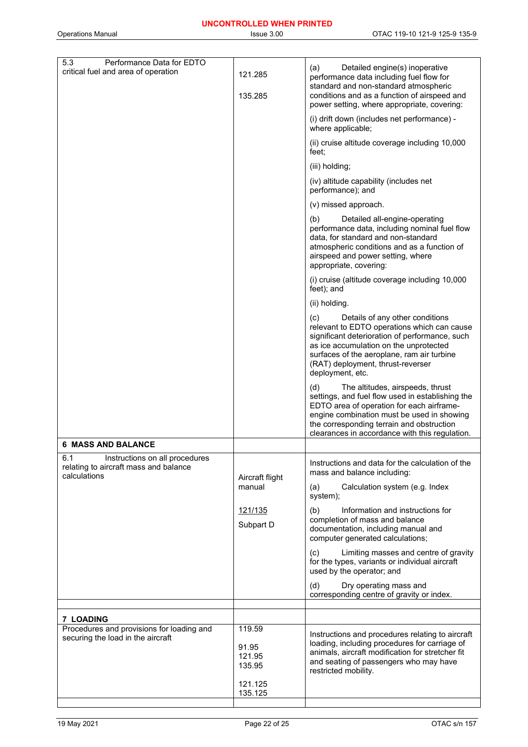(a) Detailed engine(s) inoperative

5.3 Performance Data for EDTO

| critical fuel and area of operation                                                            | 121.285<br>135.285                  | $(a)$ Detailed engine(s) inoperative<br>performance data including fuel flow for<br>standard and non-standard atmospheric<br>conditions and as a function of airspeed and<br>power setting, where appropriate, covering:                                                                 |
|------------------------------------------------------------------------------------------------|-------------------------------------|------------------------------------------------------------------------------------------------------------------------------------------------------------------------------------------------------------------------------------------------------------------------------------------|
|                                                                                                |                                     | (i) drift down (includes net performance) -<br>where applicable;                                                                                                                                                                                                                         |
|                                                                                                |                                     | (ii) cruise altitude coverage including 10,000<br>feet:                                                                                                                                                                                                                                  |
|                                                                                                |                                     | (iii) holding;                                                                                                                                                                                                                                                                           |
|                                                                                                |                                     | (iv) altitude capability (includes net<br>performance); and                                                                                                                                                                                                                              |
|                                                                                                |                                     | (v) missed approach.                                                                                                                                                                                                                                                                     |
|                                                                                                |                                     | (b)<br>Detailed all-engine-operating<br>performance data, including nominal fuel flow<br>data, for standard and non-standard<br>atmospheric conditions and as a function of<br>airspeed and power setting, where<br>appropriate, covering:                                               |
|                                                                                                |                                     | (i) cruise (altitude coverage including 10,000<br>feet); and                                                                                                                                                                                                                             |
|                                                                                                |                                     | (ii) holding.                                                                                                                                                                                                                                                                            |
|                                                                                                |                                     | Details of any other conditions<br>(c)<br>relevant to EDTO operations which can cause<br>significant deterioration of performance, such<br>as ice accumulation on the unprotected<br>surfaces of the aeroplane, ram air turbine<br>(RAT) deployment, thrust-reverser<br>deployment, etc. |
|                                                                                                |                                     | (d)<br>The altitudes, airspeeds, thrust<br>settings, and fuel flow used in establishing the<br>EDTO area of operation for each airframe-<br>engine combination must be used in showing<br>the corresponding terrain and obstruction<br>clearances in accordance with this regulation.    |
| <b>6 MASS AND BALANCE</b>                                                                      |                                     |                                                                                                                                                                                                                                                                                          |
| 6.1<br>Instructions on all procedures<br>relating to aircraft mass and balance<br>calculations | Aircraft flight                     | Instructions and data for the calculation of the<br>mass and balance including:                                                                                                                                                                                                          |
|                                                                                                | manual                              | Calculation system (e.g. Index<br>(a)<br>system);                                                                                                                                                                                                                                        |
|                                                                                                | 121/135<br>Subpart D                | (b)<br>Information and instructions for<br>completion of mass and balance<br>documentation, including manual and<br>computer generated calculations;                                                                                                                                     |
|                                                                                                |                                     | Limiting masses and centre of gravity<br>(c)<br>for the types, variants or individual aircraft<br>used by the operator; and                                                                                                                                                              |
|                                                                                                |                                     | (d)<br>Dry operating mass and<br>corresponding centre of gravity or index.                                                                                                                                                                                                               |
| <b>7 LOADING</b>                                                                               |                                     |                                                                                                                                                                                                                                                                                          |
| Procedures and provisions for loading and<br>securing the load in the aircraft                 | 119.59<br>91.95<br>121.95<br>135.95 | Instructions and procedures relating to aircraft<br>loading, including procedures for carriage of<br>animals, aircraft modification for stretcher fit<br>and seating of passengers who may have                                                                                          |
|                                                                                                | 121.125<br>135.125                  | restricted mobility.                                                                                                                                                                                                                                                                     |
|                                                                                                |                                     |                                                                                                                                                                                                                                                                                          |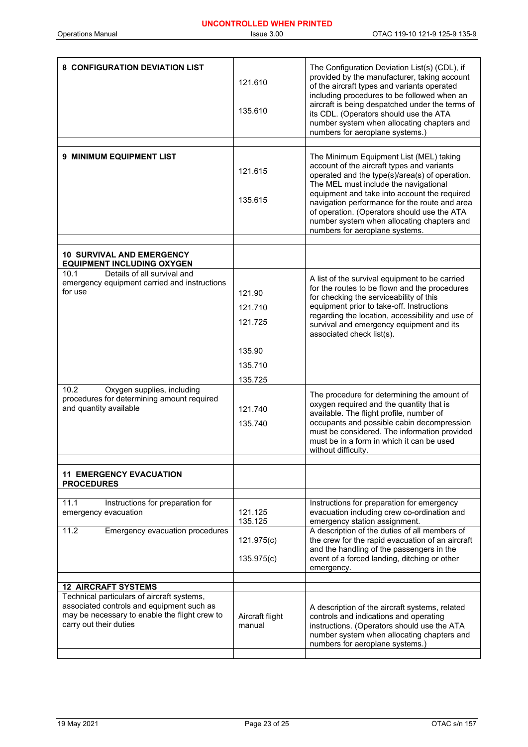| 8 CONFIGURATION DEVIATION LIST                                                                                                                                     | 121.610<br>135.610           | The Configuration Deviation List(s) (CDL), if<br>provided by the manufacturer, taking account<br>of the aircraft types and variants operated<br>including procedures to be followed when an<br>aircraft is being despatched under the terms of<br>its CDL. (Operators should use the ATA<br>number system when allocating chapters and<br>numbers for aeroplane systems.)                                        |
|--------------------------------------------------------------------------------------------------------------------------------------------------------------------|------------------------------|------------------------------------------------------------------------------------------------------------------------------------------------------------------------------------------------------------------------------------------------------------------------------------------------------------------------------------------------------------------------------------------------------------------|
|                                                                                                                                                                    |                              |                                                                                                                                                                                                                                                                                                                                                                                                                  |
| 9 MINIMUM EQUIPMENT LIST                                                                                                                                           | 121.615<br>135.615           | The Minimum Equipment List (MEL) taking<br>account of the aircraft types and variants<br>operated and the type(s)/area(s) of operation.<br>The MEL must include the navigational<br>equipment and take into account the required<br>navigation performance for the route and area<br>of operation. (Operators should use the ATA<br>number system when allocating chapters and<br>numbers for aeroplane systems. |
|                                                                                                                                                                    |                              |                                                                                                                                                                                                                                                                                                                                                                                                                  |
| <b>10 SURVIVAL AND EMERGENCY</b><br><b>EQUIPMENT INCLUDING OXYGEN</b>                                                                                              |                              |                                                                                                                                                                                                                                                                                                                                                                                                                  |
| Details of all survival and<br>10.1<br>emergency equipment carried and instructions<br>for use                                                                     | 121.90<br>121.710<br>121.725 | A list of the survival equipment to be carried<br>for the routes to be flown and the procedures<br>for checking the serviceability of this<br>equipment prior to take-off. Instructions<br>regarding the location, accessibility and use of<br>survival and emergency equipment and its<br>associated check list(s).                                                                                             |
|                                                                                                                                                                    |                              |                                                                                                                                                                                                                                                                                                                                                                                                                  |
|                                                                                                                                                                    | 135.90                       |                                                                                                                                                                                                                                                                                                                                                                                                                  |
|                                                                                                                                                                    | 135.710                      |                                                                                                                                                                                                                                                                                                                                                                                                                  |
|                                                                                                                                                                    | 135.725                      |                                                                                                                                                                                                                                                                                                                                                                                                                  |
| 10.2<br>Oxygen supplies, including<br>procedures for determining amount required<br>and quantity available                                                         | 121.740<br>135.740           | The procedure for determining the amount of<br>oxygen required and the quantity that is<br>available. The flight profile, number of<br>occupants and possible cabin decompression<br>must be considered. The information provided<br>must be in a form in which it can be used<br>without difficulty.                                                                                                            |
| <b>11 EMERGENCY EVACUATION</b>                                                                                                                                     |                              |                                                                                                                                                                                                                                                                                                                                                                                                                  |
| <b>PROCEDURES</b>                                                                                                                                                  |                              |                                                                                                                                                                                                                                                                                                                                                                                                                  |
|                                                                                                                                                                    |                              |                                                                                                                                                                                                                                                                                                                                                                                                                  |
| 11.1<br>Instructions for preparation for<br>emergency evacuation                                                                                                   | 121.125<br>135.125           | Instructions for preparation for emergency<br>evacuation including crew co-ordination and<br>emergency station assignment.                                                                                                                                                                                                                                                                                       |
| 11.2<br>Emergency evacuation procedures                                                                                                                            |                              | A description of the duties of all members of                                                                                                                                                                                                                                                                                                                                                                    |
|                                                                                                                                                                    | 121.975(c)<br>135.975(c)     | the crew for the rapid evacuation of an aircraft<br>and the handling of the passengers in the<br>event of a forced landing, ditching or other<br>emergency.                                                                                                                                                                                                                                                      |
|                                                                                                                                                                    |                              |                                                                                                                                                                                                                                                                                                                                                                                                                  |
| <b>12 AIRCRAFT SYSTEMS</b>                                                                                                                                         |                              |                                                                                                                                                                                                                                                                                                                                                                                                                  |
| Technical particulars of aircraft systems,<br>associated controls and equipment such as<br>may be necessary to enable the flight crew to<br>carry out their duties | Aircraft flight<br>manual    | A description of the aircraft systems, related<br>controls and indications and operating<br>instructions. (Operators should use the ATA<br>number system when allocating chapters and<br>numbers for aeroplane systems.)                                                                                                                                                                                         |
|                                                                                                                                                                    |                              |                                                                                                                                                                                                                                                                                                                                                                                                                  |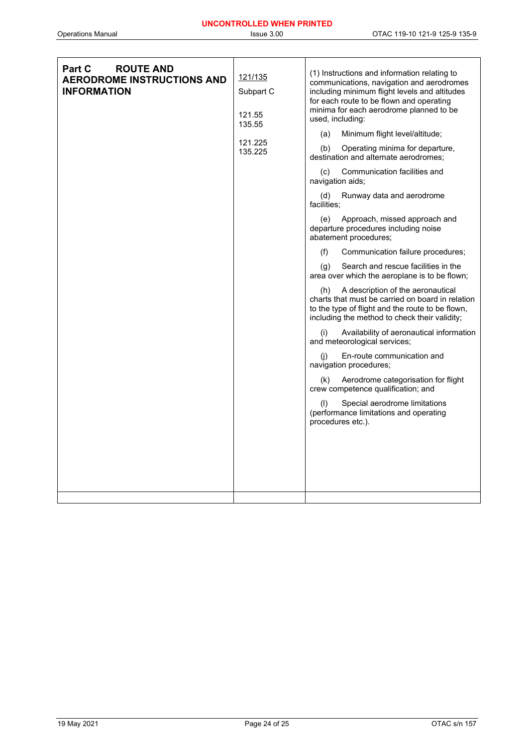| <b>ROUTE AND</b><br><b>Part C</b><br><b>AERODROME INSTRUCTIONS AND</b><br><b>INFORMATION</b> | 121/135<br>Subpart C<br>121.55<br>135.55<br>121.225<br>135.225 | (1) Instructions and information relating to<br>communications, navigation and aerodromes<br>including minimum flight levels and altitudes<br>for each route to be flown and operating<br>minima for each aerodrome planned to be<br>used, including:<br>Minimum flight level/altitude;<br>(a)<br>Operating minima for departure,<br>(b)<br>destination and alternate aerodromes:<br>Communication facilities and<br>(c)<br>navigation aids;<br>Runway data and aerodrome<br>(d)<br>facilities;<br>Approach, missed approach and<br>(e)<br>departure procedures including noise<br>abatement procedures;<br>(f)<br>Communication failure procedures;<br>Search and rescue facilities in the<br>(q)<br>area over which the aeroplane is to be flown;<br>A description of the aeronautical<br>(h)<br>charts that must be carried on board in relation<br>to the type of flight and the route to be flown,<br>including the method to check their validity;<br>Availability of aeronautical information<br>(i)<br>and meteorological services;<br>En-route communication and<br>(i)<br>navigation procedures;<br>Aerodrome categorisation for flight<br>(k)<br>crew competence qualification; and<br>(1)<br>Special aerodrome limitations<br>(performance limitations and operating<br>procedures etc.). |
|----------------------------------------------------------------------------------------------|----------------------------------------------------------------|-------------------------------------------------------------------------------------------------------------------------------------------------------------------------------------------------------------------------------------------------------------------------------------------------------------------------------------------------------------------------------------------------------------------------------------------------------------------------------------------------------------------------------------------------------------------------------------------------------------------------------------------------------------------------------------------------------------------------------------------------------------------------------------------------------------------------------------------------------------------------------------------------------------------------------------------------------------------------------------------------------------------------------------------------------------------------------------------------------------------------------------------------------------------------------------------------------------------------------------------------------------------------------------------------------|
|                                                                                              |                                                                |                                                                                                                                                                                                                                                                                                                                                                                                                                                                                                                                                                                                                                                                                                                                                                                                                                                                                                                                                                                                                                                                                                                                                                                                                                                                                                       |